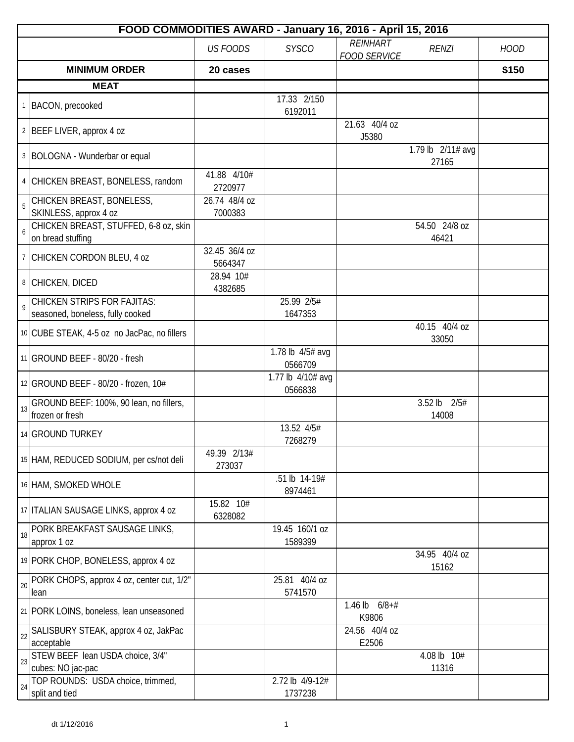|                                                                                                                            | FOOD COMMODITIES AWARD - January 16, 2016 - April 15, 2016 |                              |                                        |                            |             |  |  |  |
|----------------------------------------------------------------------------------------------------------------------------|------------------------------------------------------------|------------------------------|----------------------------------------|----------------------------|-------------|--|--|--|
|                                                                                                                            | <b>US FOODS</b>                                            | <b>SYSCO</b>                 | <b>REINHART</b><br><b>FOOD SERVICE</b> | <b>RENZI</b>               | <b>HOOD</b> |  |  |  |
| <b>MINIMUM ORDER</b>                                                                                                       | 20 cases                                                   |                              |                                        |                            | \$150       |  |  |  |
| <b>MEAT</b>                                                                                                                |                                                            |                              |                                        |                            |             |  |  |  |
| BACON, precooked<br>$\mathbf{1}$                                                                                           |                                                            | 17.33 2/150<br>6192011       |                                        |                            |             |  |  |  |
| 2 BEEF LIVER, approx 4 oz                                                                                                  |                                                            |                              | 21.63 40/4 oz<br>J5380                 |                            |             |  |  |  |
| 3 BOLOGNA - Wunderbar or equal                                                                                             |                                                            |                              |                                        | 1.79 lb 2/11# avg<br>27165 |             |  |  |  |
| 4 CHICKEN BREAST, BONELESS, random                                                                                         | 41.88 4/10#<br>2720977                                     |                              |                                        |                            |             |  |  |  |
| CHICKEN BREAST, BONELESS,<br>5<br>SKINLESS, approx 4 oz<br>CHICKEN BREAST, STUFFED, 6-8 oz, skin<br>6<br>on bread stuffing | 26.74 48/4 oz<br>7000383                                   |                              |                                        | 54.50 24/8 oz<br>46421     |             |  |  |  |
| 7 CHICKEN CORDON BLEU, 4 oz                                                                                                | 32.45 36/4 oz<br>5664347                                   |                              |                                        |                            |             |  |  |  |
| 8 CHICKEN, DICED                                                                                                           | 28.94 10#<br>4382685                                       |                              |                                        |                            |             |  |  |  |
| CHICKEN STRIPS FOR FAJITAS:<br>$\overline{9}$<br>seasoned, boneless, fully cooked                                          |                                                            | 25.99 2/5#<br>1647353        |                                        |                            |             |  |  |  |
| 10 CUBE STEAK, 4-5 oz no JacPac, no fillers                                                                                |                                                            |                              |                                        | 40.15 40/4 oz<br>33050     |             |  |  |  |
| 11 GROUND BEEF - 80/20 - fresh                                                                                             |                                                            | 1.78 lb 4/5# avg<br>0566709  |                                        |                            |             |  |  |  |
| 12 GROUND BEEF - 80/20 - frozen, 10#                                                                                       |                                                            | 1.77 lb 4/10# avg<br>0566838 |                                        |                            |             |  |  |  |
| GROUND BEEF: 100%, 90 lean, no fillers,<br>13<br>frozen or fresh                                                           |                                                            |                              |                                        | 3.52 lb 2/5#<br>14008      |             |  |  |  |
| 14 GROUND TURKEY                                                                                                           |                                                            | 13.52 4/5#<br>7268279        |                                        |                            |             |  |  |  |
| 15 HAM, REDUCED SODIUM, per cs/not deli                                                                                    | 49.39 2/13#<br>273037                                      |                              |                                        |                            |             |  |  |  |
| 16 HAM, SMOKED WHOLE                                                                                                       |                                                            | .51 lb 14-19#<br>8974461     |                                        |                            |             |  |  |  |
| 17   ITALIAN SAUSAGE LINKS, approx 4 oz                                                                                    | 15.82 10#<br>6328082                                       |                              |                                        |                            |             |  |  |  |
| PORK BREAKFAST SAUSAGE LINKS,<br>18<br>approx 1 oz                                                                         |                                                            | 19.45 160/1 oz<br>1589399    |                                        |                            |             |  |  |  |
| 19 PORK CHOP, BONELESS, approx 4 oz                                                                                        |                                                            |                              |                                        | 34.95 40/4 oz<br>15162     |             |  |  |  |
| PORK CHOPS, approx 4 oz, center cut, 1/2"<br>20<br>lean                                                                    |                                                            | 25.81 40/4 oz<br>5741570     |                                        |                            |             |  |  |  |
| 21 PORK LOINS, boneless, lean unseasoned                                                                                   |                                                            |                              | $6/8 + #$<br>$1.46$ lb<br>K9806        |                            |             |  |  |  |
| SALISBURY STEAK, approx 4 oz, JakPac<br>22<br>acceptable                                                                   |                                                            |                              | 24.56 40/4 oz<br>E2506                 |                            |             |  |  |  |
| STEW BEEF lean USDA choice, 3/4"<br>23<br>cubes: NO jac-pac                                                                |                                                            |                              |                                        | 4.08 lb 10#<br>11316       |             |  |  |  |
| TOP ROUNDS: USDA choice, trimmed,<br>24<br>split and tied                                                                  |                                                            | 2.72 lb 4/9-12#<br>1737238   |                                        |                            |             |  |  |  |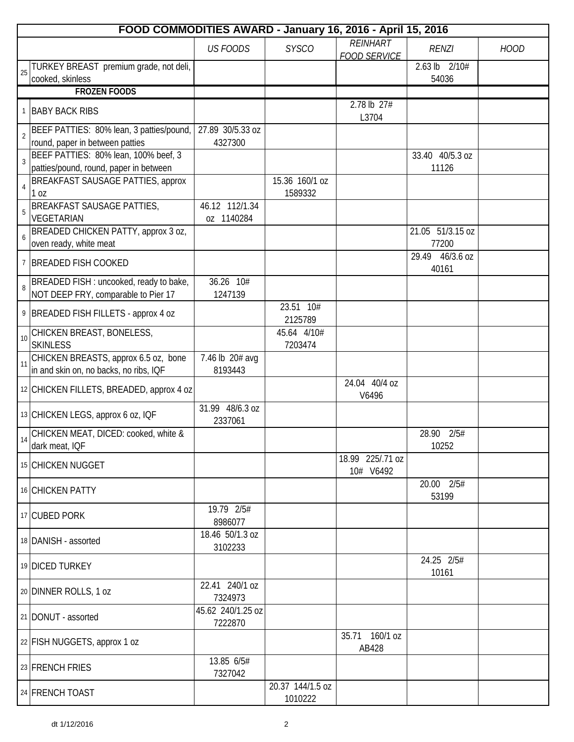|                 | FOOD COMMODITIES AWARD - January 16, 2016 - April 15, 2016                     |                              |                             |                                 |                          |             |  |
|-----------------|--------------------------------------------------------------------------------|------------------------------|-----------------------------|---------------------------------|--------------------------|-------------|--|
|                 |                                                                                | <b>US FOODS</b>              | <b>SYSCO</b>                | REINHART<br><b>FOOD SERVICE</b> | <b>RENZI</b>             | <b>HOOD</b> |  |
| 25              | TURKEY BREAST premium grade, not deli,<br>cooked, skinless                     |                              |                             |                                 | 2.63 lb 2/10#<br>54036   |             |  |
|                 | <b>FROZEN FOODS</b>                                                            |                              |                             |                                 |                          |             |  |
|                 | 1 BABY BACK RIBS                                                               |                              |                             | 2.78 lb 27#<br>L3704            |                          |             |  |
| $\overline{2}$  | BEEF PATTIES: 80% lean, 3 patties/pound,<br>round, paper in between patties    | 27.89 30/5.33 oz<br>4327300  |                             |                                 |                          |             |  |
| $\overline{3}$  | BEEF PATTIES: 80% lean, 100% beef, 3<br>patties/pound, round, paper in between |                              |                             |                                 | 33.40 40/5.3 oz<br>11126 |             |  |
| 4               | <b>BREAKFAST SAUSAGE PATTIES, approx</b><br>1 <sub>0Z</sub>                    |                              | 15.36 160/1 oz<br>1589332   |                                 |                          |             |  |
| 5               | <b>BREAKFAST SAUSAGE PATTIES,</b>                                              | 46.12 112/1.34               |                             |                                 |                          |             |  |
| 6               | VEGETARIAN<br>BREADED CHICKEN PATTY, approx 3 oz,                              | oz 1140284                   |                             |                                 | 21.05 51/3.15 oz         |             |  |
|                 | oven ready, white meat<br>7 BREADED FISH COOKED                                |                              |                             |                                 | 77200<br>29.49 46/3.6 oz |             |  |
| 8               | BREADED FISH : uncooked, ready to bake,<br>NOT DEEP FRY, comparable to Pier 17 | 36.26 10#<br>1247139         |                             |                                 | 40161                    |             |  |
|                 | 9 BREADED FISH FILLETS - approx 4 oz                                           |                              | 23.51 10#<br>2125789        |                                 |                          |             |  |
| 10 <sup>°</sup> | CHICKEN BREAST, BONELESS,<br><b>SKINLESS</b>                                   |                              | 45.64 4/10#<br>7203474      |                                 |                          |             |  |
| 11              | CHICKEN BREASTS, approx 6.5 oz, bone<br>in and skin on, no backs, no ribs, IQF | 7.46 lb 20# avg<br>8193443   |                             |                                 |                          |             |  |
|                 | 12 CHICKEN FILLETS, BREADED, approx 4 oz                                       |                              |                             | 24.04 40/4 oz<br>V6496          |                          |             |  |
|                 | 13 CHICKEN LEGS, approx 6 oz, IQF                                              | 31.99 48/6.3 oz<br>2337061   |                             |                                 |                          |             |  |
| 14              | CHICKEN MEAT, DICED: cooked, white &<br>dark meat, IQF                         |                              |                             |                                 | 28.90 2/5#<br>10252      |             |  |
|                 | 15 CHICKEN NUGGET                                                              |                              |                             | 18.99 225/.71 oz<br>10# V6492   |                          |             |  |
|                 | 16 CHICKEN PATTY                                                               |                              |                             |                                 | 20.00 2/5#<br>53199      |             |  |
|                 | 17 CUBED PORK                                                                  | 19.79 2/5#<br>8986077        |                             |                                 |                          |             |  |
|                 | 18 DANISH - assorted                                                           | 18.46 50/1.3 oz<br>3102233   |                             |                                 |                          |             |  |
|                 | 19 DICED TURKEY                                                                |                              |                             |                                 | 24.25 2/5#<br>10161      |             |  |
|                 | 20 DINNER ROLLS, 1 oz                                                          | 22.41 240/1 oz<br>7324973    |                             |                                 |                          |             |  |
|                 | 21 DONUT - assorted                                                            | 45.62 240/1.25 oz<br>7222870 |                             |                                 |                          |             |  |
|                 | 22 FISH NUGGETS, approx 1 oz                                                   |                              |                             | 35.71 160/1 oz<br>AB428         |                          |             |  |
|                 | 23 FRENCH FRIES                                                                | 13.85 6/5#<br>7327042        |                             |                                 |                          |             |  |
|                 | 24 FRENCH TOAST                                                                |                              | 20.37 144/1.5 oz<br>1010222 |                                 |                          |             |  |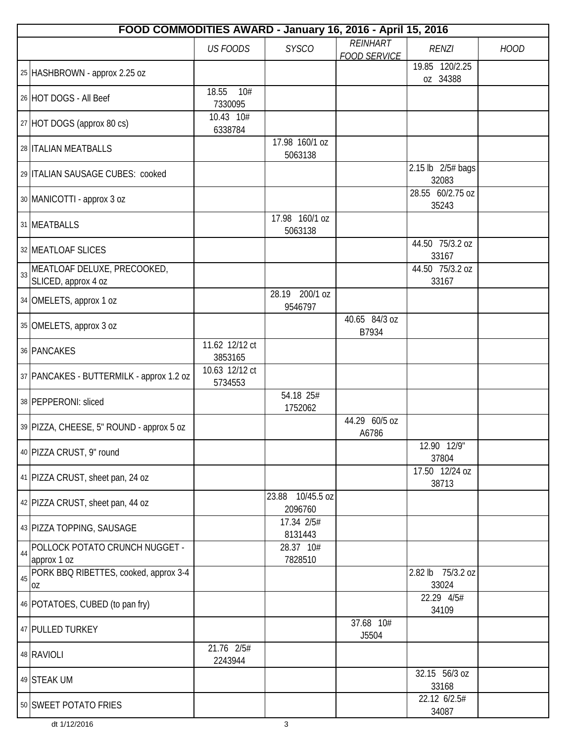|    | FOOD COMMODITIES AWARD - January 16, 2016 - April 15, 2016 |                           |                             |                                 |                            |             |  |  |
|----|------------------------------------------------------------|---------------------------|-----------------------------|---------------------------------|----------------------------|-------------|--|--|
|    |                                                            | <b>US FOODS</b>           | <b>SYSCO</b>                | REINHART<br><b>FOOD SERVICE</b> | <b>RENZI</b>               | <b>HOOD</b> |  |  |
|    | 25   HASHBROWN - approx 2.25 oz                            |                           |                             |                                 | 19.85 120/2.25<br>oz 34388 |             |  |  |
|    | 26 HOT DOGS - All Beef                                     | 18.55<br>10#<br>7330095   |                             |                                 |                            |             |  |  |
|    | 27 HOT DOGS (approx 80 cs)                                 | 10.43 10#<br>6338784      |                             |                                 |                            |             |  |  |
|    | 28   ITALIAN MEATBALLS                                     |                           | 17.98 160/1 oz<br>5063138   |                                 |                            |             |  |  |
|    | 29 ITALIAN SAUSAGE CUBES: cooked                           |                           |                             |                                 | 2.15 lb 2/5# bags<br>32083 |             |  |  |
|    | 30 MANICOTTI - approx 3 oz                                 |                           |                             |                                 | 28.55 60/2.75 oz<br>35243  |             |  |  |
|    | 31 MEATBALLS                                               |                           | 17.98 160/1 oz<br>5063138   |                                 |                            |             |  |  |
|    | 32 MEATLOAF SLICES                                         |                           |                             |                                 | 44.50 75/3.2 oz<br>33167   |             |  |  |
| 33 | MEATLOAF DELUXE, PRECOOKED,<br>SLICED, approx 4 oz         |                           |                             |                                 | 44.50 75/3.2 oz<br>33167   |             |  |  |
|    | 34 OMELETS, approx 1 oz                                    |                           | 28.19 200/1 oz<br>9546797   |                                 |                            |             |  |  |
|    | 35 OMELETS, approx 3 oz                                    |                           |                             | 40.65 84/3 oz<br>B7934          |                            |             |  |  |
|    | 36 PANCAKES                                                | 11.62 12/12 ct<br>3853165 |                             |                                 |                            |             |  |  |
|    | 37   PANCAKES - BUTTERMILK - approx 1.2 oz                 | 10.63 12/12 ct<br>5734553 |                             |                                 |                            |             |  |  |
|    | 38 PEPPERONI: sliced                                       |                           | 54.18 25#<br>1752062        |                                 |                            |             |  |  |
|    | 39 PIZZA, CHEESE, 5" ROUND - approx 5 oz                   |                           |                             | 44.29 60/5 oz<br>A6786          |                            |             |  |  |
|    | 40 PIZZA CRUST, 9" round                                   |                           |                             |                                 | 12.90 12/9"<br>37804       |             |  |  |
|    | 41 PIZZA CRUST, sheet pan, 24 oz                           |                           |                             |                                 | 17.50 12/24 oz<br>38713    |             |  |  |
|    | 42 PIZZA CRUST, sheet pan, 44 oz                           |                           | 23.88 10/45.5 oz<br>2096760 |                                 |                            |             |  |  |
|    | 43 PIZZA TOPPING, SAUSAGE                                  |                           | 17.34 2/5#<br>8131443       |                                 |                            |             |  |  |
| 44 | POLLOCK POTATO CRUNCH NUGGET -<br>approx 1 oz              |                           | 28.37 10#<br>7828510        |                                 |                            |             |  |  |
| 45 | PORK BBQ RIBETTES, cooked, approx 3-4<br> OZ               |                           |                             |                                 | 2.82 lb 75/3.2 oz<br>33024 |             |  |  |
|    | 46   POTATOES, CUBED (to pan fry)                          |                           |                             |                                 | 22.29 4/5#<br>34109        |             |  |  |
|    | 47 PULLED TURKEY                                           |                           |                             | 37.68 10#<br>J5504              |                            |             |  |  |
|    | 48 RAVIOLI                                                 | 21.76 2/5#<br>2243944     |                             |                                 |                            |             |  |  |
|    | 49 STEAK UM                                                |                           |                             |                                 | 32.15 56/3 oz<br>33168     |             |  |  |
|    | 50 SWEET POTATO FRIES                                      |                           |                             |                                 | 22.12 6/2.5#<br>34087      |             |  |  |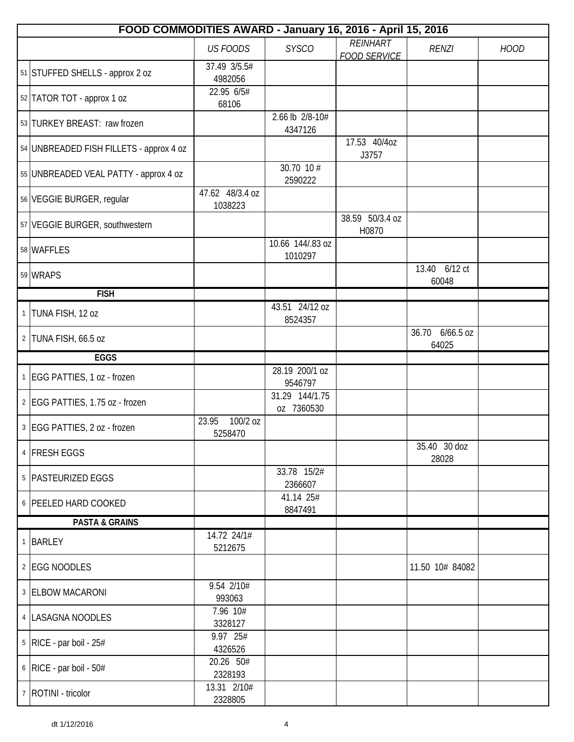| FOOD COMMODITIES AWARD - January 16, 2016 - April 15, 2016 |                              |                              |                                        |                          |             |  |  |
|------------------------------------------------------------|------------------------------|------------------------------|----------------------------------------|--------------------------|-------------|--|--|
|                                                            | <b>US FOODS</b>              | <b>SYSCO</b>                 | <b>REINHART</b><br><b>FOOD SERVICE</b> | <b>RENZI</b>             | <b>HOOD</b> |  |  |
| 51 STUFFED SHELLS - approx 2 oz                            | 37.49 3/5.5#<br>4982056      |                              |                                        |                          |             |  |  |
| 52 TATOR TOT - approx 1 oz                                 | 22.95 6/5#<br>68106          |                              |                                        |                          |             |  |  |
| 53 TURKEY BREAST: raw frozen                               |                              | 2.66 lb 2/8-10#<br>4347126   |                                        |                          |             |  |  |
| 54 UNBREADED FISH FILLETS - approx 4 oz                    |                              |                              | 17.53 40/4oz<br>J3757                  |                          |             |  |  |
| 55 UNBREADED VEAL PATTY - approx 4 oz                      |                              | 30.70 10 #<br>2590222        |                                        |                          |             |  |  |
| 56 VEGGIE BURGER, regular                                  | 47.62 48/3.4 oz<br>1038223   |                              |                                        |                          |             |  |  |
| 57 VEGGIE BURGER, southwestern                             |                              |                              | 38.59 50/3.4 oz<br>H0870               |                          |             |  |  |
| 58 WAFFLES                                                 |                              | 10.66 144/.83 oz<br>1010297  |                                        |                          |             |  |  |
| 59 WRAPS                                                   |                              |                              |                                        | 13.40 6/12 ct<br>60048   |             |  |  |
| <b>FISH</b>                                                |                              |                              |                                        |                          |             |  |  |
| 1 TUNA FISH, 12 oz                                         |                              | 43.51 24/12 oz<br>8524357    |                                        |                          |             |  |  |
| 2 TUNA FISH, 66.5 oz                                       |                              |                              |                                        | 36.70 6/66.5 oz<br>64025 |             |  |  |
| <b>EGGS</b>                                                |                              |                              |                                        |                          |             |  |  |
| 1 EGG PATTIES, 1 oz - frozen                               |                              | 28.19 200/1 oz<br>9546797    |                                        |                          |             |  |  |
| 2 EGG PATTIES, 1.75 oz - frozen                            |                              | 31.29 144/1.75<br>oz 7360530 |                                        |                          |             |  |  |
| 3 EGG PATTIES, 2 oz - frozen                               | 100/2 oz<br>23.95<br>5258470 |                              |                                        |                          |             |  |  |
| 4 FRESH EGGS                                               |                              |                              |                                        | 35.40 30 doz<br>28028    |             |  |  |
| 5 PASTEURIZED EGGS                                         |                              | 33.78 15/2#<br>2366607       |                                        |                          |             |  |  |
| 6 PEELED HARD COOKED                                       |                              | 41.14 25#<br>8847491         |                                        |                          |             |  |  |
| <b>PASTA &amp; GRAINS</b>                                  |                              |                              |                                        |                          |             |  |  |
| 1 BARLEY                                                   | 14.72 24/1#<br>5212675       |                              |                                        |                          |             |  |  |
| 2 EGG NOODLES                                              |                              |                              |                                        | 11.50 10# 84082          |             |  |  |
| 3 ELBOW MACARONI                                           | 9.54 2/10#<br>993063         |                              |                                        |                          |             |  |  |
| 4  LASAGNA NOODLES                                         | 7.96 10#<br>3328127          |                              |                                        |                          |             |  |  |
| 5 RICE - par boil - 25#                                    | 9.97 25#<br>4326526          |                              |                                        |                          |             |  |  |
| $6$ RICE - par boil - 50#                                  | 20.26 50#<br>2328193         |                              |                                        |                          |             |  |  |
| 7 ROTINI - tricolor                                        | 13.31 2/10#<br>2328805       |                              |                                        |                          |             |  |  |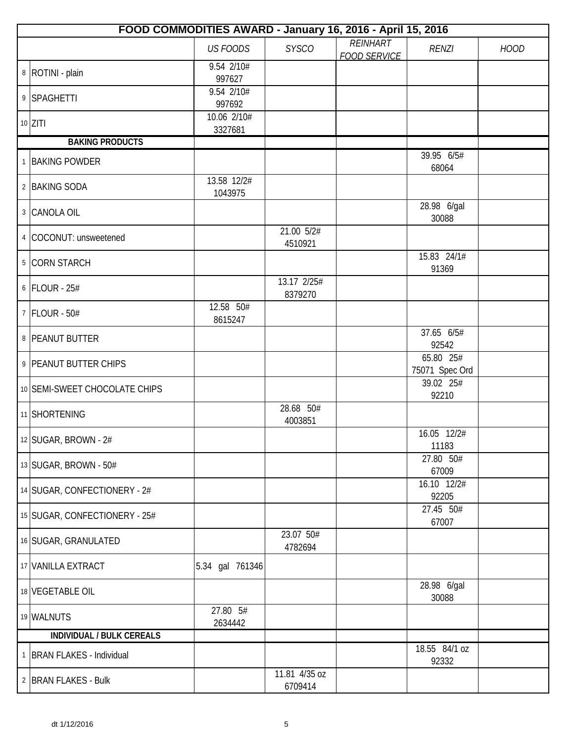| FOOD COMMODITIES AWARD - January 16, 2016 - April 15, 2016 |                        |                          |                                 |                             |             |  |
|------------------------------------------------------------|------------------------|--------------------------|---------------------------------|-----------------------------|-------------|--|
|                                                            | <b>US FOODS</b>        | <b>SYSCO</b>             | REINHART<br><b>FOOD SERVICE</b> | <b>RENZI</b>                | <b>HOOD</b> |  |
| 8   ROTINI - plain                                         | 9.54 2/10#<br>997627   |                          |                                 |                             |             |  |
| 9 SPAGHETTI                                                | 9.54 2/10#<br>997692   |                          |                                 |                             |             |  |
| $10$ ZITI                                                  | 10.06 2/10#<br>3327681 |                          |                                 |                             |             |  |
| <b>BAKING PRODUCTS</b>                                     |                        |                          |                                 |                             |             |  |
| 1 BAKING POWDER                                            |                        |                          |                                 | 39.95 6/5#<br>68064         |             |  |
| 2 BAKING SODA                                              | 13.58 12/2#<br>1043975 |                          |                                 |                             |             |  |
| 3 CANOLA OIL                                               |                        |                          |                                 | 28.98 6/gal<br>30088        |             |  |
| 4 COCONUT: unsweetened                                     |                        | 21.00 5/2#<br>4510921    |                                 |                             |             |  |
| 5 CORN STARCH                                              |                        |                          |                                 | 15.83 24/1#<br>91369        |             |  |
| 6 FLOUR - 25#                                              |                        | 13.17 2/25#<br>8379270   |                                 |                             |             |  |
| 7 FLOUR - 50#                                              | 12.58 50#<br>8615247   |                          |                                 |                             |             |  |
| 8 PEANUT BUTTER                                            |                        |                          |                                 | 37.65 6/5#<br>92542         |             |  |
| 9 PEANUT BUTTER CHIPS                                      |                        |                          |                                 | 65.80 25#<br>75071 Spec Ord |             |  |
| 10 SEMI-SWEET CHOCOLATE CHIPS                              |                        |                          |                                 | 39.02 25#<br>92210          |             |  |
| 11 SHORTENING                                              |                        | 28.68 50#<br>4003851     |                                 |                             |             |  |
| 12 SUGAR, BROWN - 2#                                       |                        |                          |                                 | 16.05 12/2#<br>11183        |             |  |
| 13 SUGAR, BROWN - 50#                                      |                        |                          |                                 | 27.80 50#<br>67009          |             |  |
| 14 SUGAR, CONFECTIONERY - 2#                               |                        |                          |                                 | 16.10 12/2#<br>92205        |             |  |
| 15 SUGAR, CONFECTIONERY - 25#                              |                        |                          |                                 | 27.45 50#<br>67007          |             |  |
| 16 SUGAR, GRANULATED                                       |                        | 23.07 50#<br>4782694     |                                 |                             |             |  |
| 17 VANILLA EXTRACT                                         | 5.34 gal 761346        |                          |                                 |                             |             |  |
| 18 VEGETABLE OIL                                           |                        |                          |                                 | 28.98 6/gal<br>30088        |             |  |
| 19 WALNUTS                                                 | 27.80 5#<br>2634442    |                          |                                 |                             |             |  |
| <b>INDIVIDUAL / BULK CEREALS</b>                           |                        |                          |                                 |                             |             |  |
| 1 BRAN FLAKES - Individual                                 |                        |                          |                                 | 18.55 84/1 oz<br>92332      |             |  |
| 2 BRAN FLAKES - Bulk                                       |                        | 11.81 4/35 oz<br>6709414 |                                 |                             |             |  |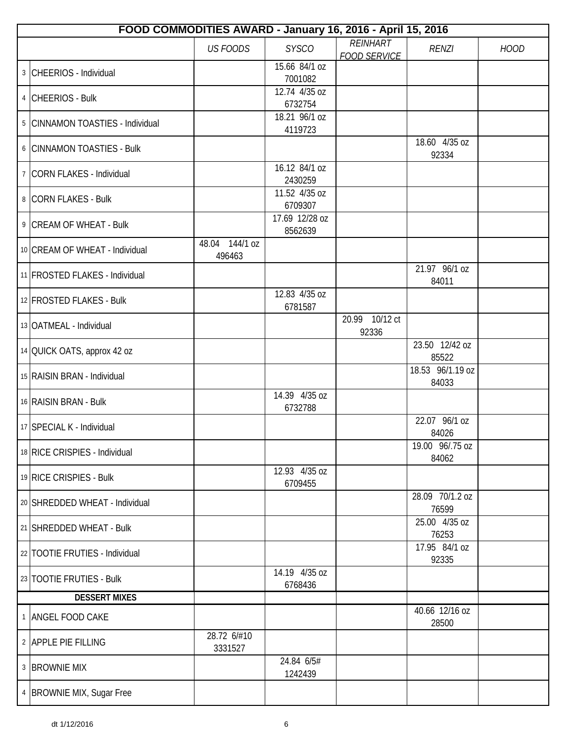| FOOD COMMODITIES AWARD - January 16, 2016 - April 15, 2016 |                          |                           |                                        |                           |             |  |  |
|------------------------------------------------------------|--------------------------|---------------------------|----------------------------------------|---------------------------|-------------|--|--|
|                                                            | <b>US FOODS</b>          | <b>SYSCO</b>              | <b>REINHART</b><br><b>FOOD SERVICE</b> | <b>RENZI</b>              | <b>HOOD</b> |  |  |
| 3 CHEERIOS - Individual                                    |                          | 15.66 84/1 oz<br>7001082  |                                        |                           |             |  |  |
| 4 CHEERIOS - Bulk                                          |                          | 12.74 4/35 oz<br>6732754  |                                        |                           |             |  |  |
| 5 CINNAMON TOASTIES - Individual                           |                          | 18.21 96/1 oz<br>4119723  |                                        |                           |             |  |  |
| 6 CINNAMON TOASTIES - Bulk                                 |                          |                           |                                        | 18.60 4/35 oz<br>92334    |             |  |  |
| 7 CORN FLAKES - Individual                                 |                          | 16.12 84/1 oz<br>2430259  |                                        |                           |             |  |  |
| 8 CORN FLAKES - Bulk                                       |                          | 11.52 4/35 oz<br>6709307  |                                        |                           |             |  |  |
| 9 CREAM OF WHEAT - Bulk                                    |                          | 17.69 12/28 oz<br>8562639 |                                        |                           |             |  |  |
| 10 CREAM OF WHEAT - Individual                             | 48.04 144/1 oz<br>496463 |                           |                                        |                           |             |  |  |
| 11 FROSTED FLAKES - Individual                             |                          |                           |                                        | 21.97 96/1 oz<br>84011    |             |  |  |
| 12 FROSTED FLAKES - Bulk                                   |                          | 12.83 4/35 oz<br>6781587  |                                        |                           |             |  |  |
| 13 OATMEAL - Individual                                    |                          |                           | 20.99 10/12 ct<br>92336                |                           |             |  |  |
| 14 QUICK OATS, approx 42 oz                                |                          |                           |                                        | 23.50 12/42 oz<br>85522   |             |  |  |
| 15 RAISIN BRAN - Individual                                |                          |                           |                                        | 18.53 96/1.19 oz<br>84033 |             |  |  |
| 16 RAISIN BRAN - Bulk                                      |                          | 14.39 4/35 oz<br>6732788  |                                        |                           |             |  |  |
| 17 SPECIAL K - Individual                                  |                          |                           |                                        | 22.07 96/1 oz<br>84026    |             |  |  |
| 18 RICE CRISPIES - Individual                              |                          |                           |                                        | 19.00 96/.75 oz<br>84062  |             |  |  |
| 19 RICE CRISPIES - Bulk                                    |                          | 12.93 4/35 oz<br>6709455  |                                        |                           |             |  |  |
| 20 SHREDDED WHEAT - Individual                             |                          |                           |                                        | 28.09 70/1.2 oz<br>76599  |             |  |  |
| 21 SHREDDED WHEAT - Bulk                                   |                          |                           |                                        | 25.00 4/35 oz<br>76253    |             |  |  |
| 22 TOOTIE FRUTIES - Individual                             |                          |                           |                                        | 17.95 84/1 oz<br>92335    |             |  |  |
| 23 TOOTIE FRUTIES - Bulk                                   |                          | 14.19 4/35 oz<br>6768436  |                                        |                           |             |  |  |
| <b>DESSERT MIXES</b>                                       |                          |                           |                                        |                           |             |  |  |
| 1 ANGEL FOOD CAKE                                          |                          |                           |                                        | 40.66 12/16 oz<br>28500   |             |  |  |
| 2 APPLE PIE FILLING                                        | 28.72 6/#10<br>3331527   |                           |                                        |                           |             |  |  |
| 3 BROWNIE MIX                                              |                          | 24.84 6/5#<br>1242439     |                                        |                           |             |  |  |
| 4 BROWNIE MIX, Sugar Free                                  |                          |                           |                                        |                           |             |  |  |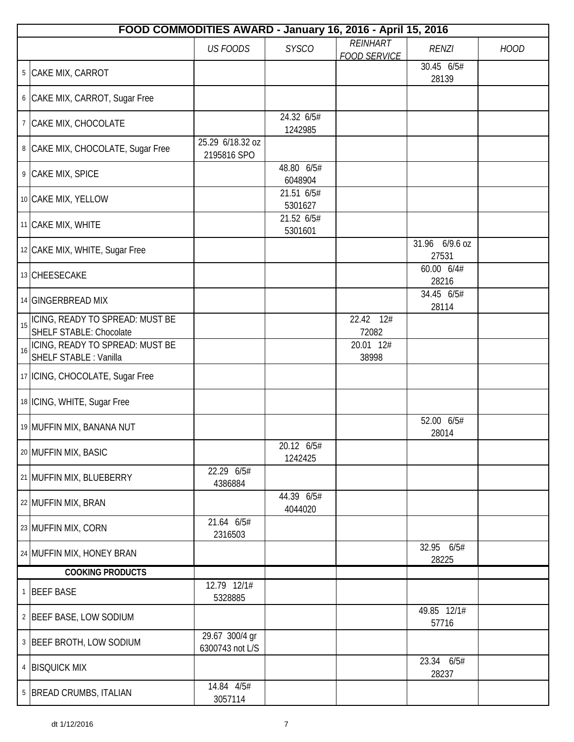|    | FOOD COMMODITIES AWARD - January 16, 2016 - April 15, 2016 |                                   |                       |                                 |                         |             |  |  |
|----|------------------------------------------------------------|-----------------------------------|-----------------------|---------------------------------|-------------------------|-------------|--|--|
|    |                                                            | <b>US FOODS</b>                   | <b>SYSCO</b>          | REINHART<br><b>FOOD SERVICE</b> | <b>RENZI</b>            | <b>HOOD</b> |  |  |
|    | 5 CAKE MIX, CARROT                                         |                                   |                       |                                 | 30.45 6/5#<br>28139     |             |  |  |
|    | 6 CAKE MIX, CARROT, Sugar Free                             |                                   |                       |                                 |                         |             |  |  |
|    | 7 CAKE MIX, CHOCOLATE                                      |                                   | 24.32 6/5#<br>1242985 |                                 |                         |             |  |  |
|    | 8 CAKE MIX, CHOCOLATE, Sugar Free                          | 25.29 6/18.32 oz<br>2195816 SPO   |                       |                                 |                         |             |  |  |
|    | 9 CAKE MIX, SPICE                                          |                                   | 48.80 6/5#<br>6048904 |                                 |                         |             |  |  |
|    | 10 CAKE MIX, YELLOW                                        |                                   | 21.51 6/5#<br>5301627 |                                 |                         |             |  |  |
|    | 11 CAKE MIX, WHITE                                         |                                   | 21.52 6/5#<br>5301601 |                                 |                         |             |  |  |
|    | 12 CAKE MIX, WHITE, Sugar Free                             |                                   |                       |                                 | 31.96 6/9.6 oz<br>27531 |             |  |  |
|    | 13 CHEESECAKE                                              |                                   |                       |                                 | 60.00 6/4#<br>28216     |             |  |  |
|    | 14 GINGERBREAD MIX                                         |                                   |                       |                                 | 34.45 6/5#<br>28114     |             |  |  |
| 15 | ICING, READY TO SPREAD: MUST BE<br>SHELF STABLE: Chocolate |                                   |                       | 22.42 12#<br>72082              |                         |             |  |  |
| 16 | ICING, READY TO SPREAD: MUST BE<br>SHELF STABLE : Vanilla  |                                   |                       | 20.01 12#<br>38998              |                         |             |  |  |
|    | 17   ICING, CHOCOLATE, Sugar Free                          |                                   |                       |                                 |                         |             |  |  |
|    | 18   ICING, WHITE, Sugar Free                              |                                   |                       |                                 |                         |             |  |  |
|    | 19 MUFFIN MIX, BANANA NUT                                  |                                   |                       |                                 | 52.00 6/5#<br>28014     |             |  |  |
|    | 20 MUFFIN MIX, BASIC                                       |                                   | 20.12 6/5#<br>1242425 |                                 |                         |             |  |  |
|    | 21 MUFFIN MIX, BLUEBERRY                                   | 22.29 6/5#<br>4386884             |                       |                                 |                         |             |  |  |
|    | 22 MUFFIN MIX, BRAN                                        |                                   | 44.39 6/5#<br>4044020 |                                 |                         |             |  |  |
|    | 23 MUFFIN MIX, CORN                                        | 21.64 6/5#<br>2316503             |                       |                                 |                         |             |  |  |
|    | 24 MUFFIN MIX, HONEY BRAN                                  |                                   |                       |                                 | 32.95 6/5#<br>28225     |             |  |  |
|    | <b>COOKING PRODUCTS</b>                                    |                                   |                       |                                 |                         |             |  |  |
|    | 1 BEEF BASE                                                | 12.79 12/1#<br>5328885            |                       |                                 |                         |             |  |  |
|    | 2 BEEF BASE, LOW SODIUM                                    |                                   |                       |                                 | 49.85 12/1#<br>57716    |             |  |  |
|    | 3 BEEF BROTH, LOW SODIUM                                   | 29.67 300/4 gr<br>6300743 not L/S |                       |                                 |                         |             |  |  |
|    | 4 BISQUICK MIX                                             |                                   |                       |                                 | 23.34 6/5#<br>28237     |             |  |  |
|    | 5 BREAD CRUMBS, ITALIAN                                    | 14.84 4/5#<br>3057114             |                       |                                 |                         |             |  |  |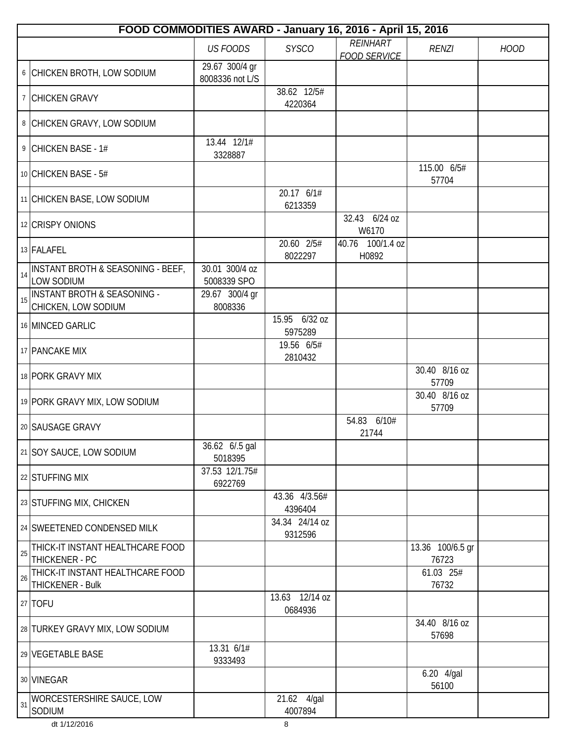|    | FOOD COMMODITIES AWARD - January 16, 2016 - April 15, 2016    |                                     |                           |                                        |                           |             |  |  |
|----|---------------------------------------------------------------|-------------------------------------|---------------------------|----------------------------------------|---------------------------|-------------|--|--|
|    |                                                               | <b>US FOODS</b>                     | <b>SYSCO</b>              | <b>REINHART</b><br><b>FOOD SERVICE</b> | <b>RENZI</b>              | <b>HOOD</b> |  |  |
|    | 6 CHICKEN BROTH, LOW SODIUM                                   | 29.67 300/4 gr<br>8008336 not L/S   |                           |                                        |                           |             |  |  |
|    | 7 CHICKEN GRAVY                                               |                                     | 38.62 12/5#<br>4220364    |                                        |                           |             |  |  |
|    | 8 CHICKEN GRAVY, LOW SODIUM                                   |                                     |                           |                                        |                           |             |  |  |
|    | 9 CHICKEN BASE - 1#                                           | $\overline{13.44}$ 12/1#<br>3328887 |                           |                                        |                           |             |  |  |
|    | 10 CHICKEN BASE - 5#                                          |                                     |                           |                                        | 115.00 6/5#<br>57704      |             |  |  |
|    | 11 CHICKEN BASE, LOW SODIUM                                   |                                     | 20.17 6/1#<br>6213359     |                                        |                           |             |  |  |
|    | 12 CRISPY ONIONS                                              |                                     |                           | 32.43 6/24 oz<br>W6170                 |                           |             |  |  |
|    | 13 FALAFEL                                                    |                                     | 20.60 2/5#<br>8022297     | 40.76 100/1.4 oz<br>H0892              |                           |             |  |  |
| 14 | INSTANT BROTH & SEASONING - BEEF,<br>LOW SODIUM               | 30.01 300/4 oz<br>5008339 SPO       |                           |                                        |                           |             |  |  |
| 15 | <b>INSTANT BROTH &amp; SEASONING -</b><br>CHICKEN, LOW SODIUM | 29.67 300/4 gr<br>8008336           |                           |                                        |                           |             |  |  |
|    | 16 MINCED GARLIC                                              |                                     | 15.95 6/32 oz<br>5975289  |                                        |                           |             |  |  |
|    | 17 PANCAKE MIX                                                |                                     | 19.56 6/5#<br>2810432     |                                        |                           |             |  |  |
|    | 18 PORK GRAVY MIX                                             |                                     |                           |                                        | 30.40 8/16 oz<br>57709    |             |  |  |
|    | 19 PORK GRAVY MIX, LOW SODIUM                                 |                                     |                           |                                        | 30.40 8/16 oz<br>57709    |             |  |  |
|    | 20 SAUSAGE GRAVY                                              |                                     |                           | 6/10#<br>54.83<br>21744                |                           |             |  |  |
|    | 21 SOY SAUCE, LOW SODIUM                                      | 36.62 6/.5 gal<br>5018395           |                           |                                        |                           |             |  |  |
|    | 22 STUFFING MIX                                               | 37.53 12/1.75#<br>6922769           |                           |                                        |                           |             |  |  |
|    | 23 STUFFING MIX, CHICKEN                                      |                                     | 43.36 4/3.56#<br>4396404  |                                        |                           |             |  |  |
|    | 24 SWEETENED CONDENSED MILK                                   |                                     | 34.34 24/14 oz<br>9312596 |                                        |                           |             |  |  |
| 25 | THICK-IT INSTANT HEALTHCARE FOOD<br>THICKENER - PC            |                                     |                           |                                        | 13.36 100/6.5 gr<br>76723 |             |  |  |
| 26 | THICK-IT INSTANT HEALTHCARE FOOD<br><b>THICKENER - Bulk</b>   |                                     |                           |                                        | 61.03 25#<br>76732        |             |  |  |
|    | 27 TOFU                                                       |                                     | 13.63 12/14 oz<br>0684936 |                                        |                           |             |  |  |
|    | 28 TURKEY GRAVY MIX, LOW SODIUM                               |                                     |                           |                                        | 34.40 8/16 oz<br>57698    |             |  |  |
|    | 29 VEGETABLE BASE                                             | 13.31 6/1#<br>9333493               |                           |                                        |                           |             |  |  |
|    | 30 VINEGAR                                                    |                                     |                           |                                        | 6.20 4/gal<br>56100       |             |  |  |
|    | 31 WORCESTERSHIRE SAUCE, LOW<br><b>SODIUM</b>                 |                                     | 21.62 4/gal<br>4007894    |                                        |                           |             |  |  |

dt 1/12/2016 8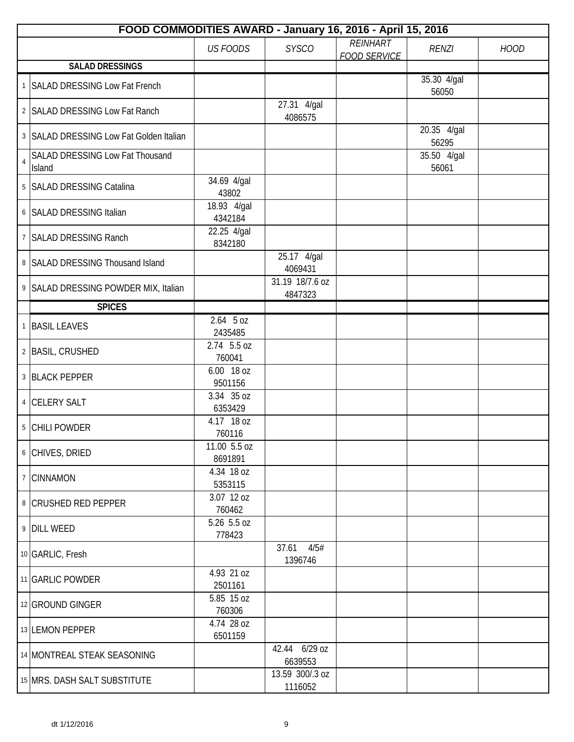|                | FOOD COMMODITIES AWARD - January 16, 2016 - April 15, 2016 |                         |                            |                                        |                      |             |
|----------------|------------------------------------------------------------|-------------------------|----------------------------|----------------------------------------|----------------------|-------------|
|                |                                                            | <b>US FOODS</b>         | <b>SYSCO</b>               | <b>REINHART</b><br><b>FOOD SERVICE</b> | <b>RENZI</b>         | <b>HOOD</b> |
|                | <b>SALAD DRESSINGS</b>                                     |                         |                            |                                        |                      |             |
|                | 1 SALAD DRESSING Low Fat French                            |                         |                            |                                        | 35.30 4/gal<br>56050 |             |
|                | 2 SALAD DRESSING Low Fat Ranch                             |                         | 27.31 4/gal<br>4086575     |                                        |                      |             |
|                | 3 SALAD DRESSING Low Fat Golden Italian                    |                         |                            |                                        | 20.35 4/gal<br>56295 |             |
| $\overline{4}$ | SALAD DRESSING Low Fat Thousand<br>Island                  |                         |                            |                                        | 35.50 4/gal<br>56061 |             |
|                | 5 SALAD DRESSING Catalina                                  | 34.69 4/gal<br>43802    |                            |                                        |                      |             |
|                | 6 SALAD DRESSING Italian                                   | 18.93 4/gal<br>4342184  |                            |                                        |                      |             |
|                | 7 SALAD DRESSING Ranch                                     | 22.25 4/gal<br>8342180  |                            |                                        |                      |             |
|                | 8 SALAD DRESSING Thousand Island                           |                         | 25.17 4/gal<br>4069431     |                                        |                      |             |
|                | 9 SALAD DRESSING POWDER MIX, Italian                       |                         | 31.19 18/7.6 oz<br>4847323 |                                        |                      |             |
|                | <b>SPICES</b>                                              |                         |                            |                                        |                      |             |
|                | <b>BASIL LEAVES</b>                                        | $2.64$ 5 oz<br>2435485  |                            |                                        |                      |             |
|                | 2 BASIL, CRUSHED                                           | $2.74$ 5.5 oz<br>760041 |                            |                                        |                      |             |
|                | 3 BLACK PEPPER                                             | 6.00 18 oz<br>9501156   |                            |                                        |                      |             |
|                | 4 CELERY SALT                                              | 3.34 35 oz<br>6353429   |                            |                                        |                      |             |
|                | 5 CHILI POWDER                                             | 4.17 18 oz<br>760116    |                            |                                        |                      |             |
|                | 6 CHIVES, DRIED                                            | 11.00 5.5 oz<br>8691891 |                            |                                        |                      |             |
|                | 7 CINNAMON                                                 | 4.34 18 oz<br>5353115   |                            |                                        |                      |             |
|                | 8 CRUSHED RED PEPPER                                       | 3.07 12 oz<br>760462    |                            |                                        |                      |             |
|                | 9 DILL WEED                                                | 5.26 5.5 oz<br>778423   |                            |                                        |                      |             |
|                | 10 GARLIC, Fresh                                           |                         | 4/5#<br>37.61<br>1396746   |                                        |                      |             |
|                | 11 GARLIC POWDER                                           | 4.93 21 oz<br>2501161   |                            |                                        |                      |             |
|                | 12 GROUND GINGER                                           | 5.85 15 oz<br>760306    |                            |                                        |                      |             |
|                | 13 LEMON PEPPER                                            | 4.74 28 oz<br>6501159   |                            |                                        |                      |             |
|                | 14 MONTREAL STEAK SEASONING                                |                         | 42.44 6/29 oz<br>6639553   |                                        |                      |             |
|                | 15 MRS. DASH SALT SUBSTITUTE                               |                         | 13.59 300/.3 oz<br>1116052 |                                        |                      |             |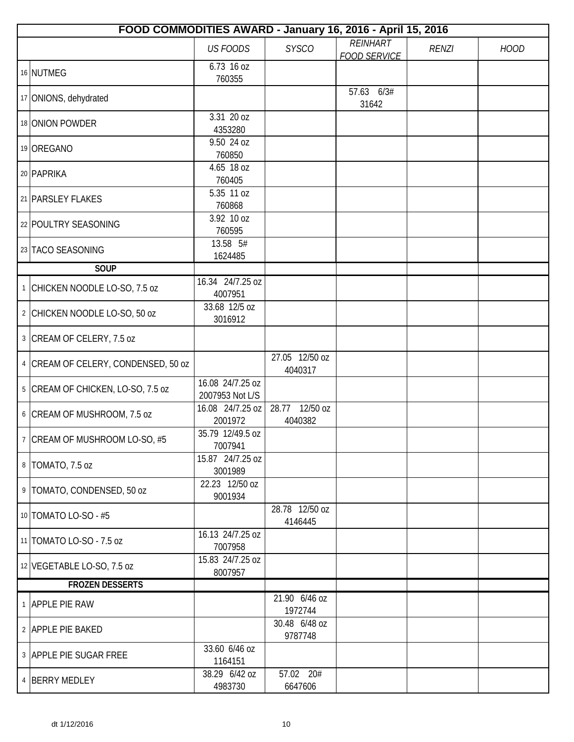| FOOD COMMODITIES AWARD - January 16, 2016 - April 15, 2016 |                                     |                            |                                        |              |             |
|------------------------------------------------------------|-------------------------------------|----------------------------|----------------------------------------|--------------|-------------|
|                                                            | <b>US FOODS</b>                     | <b>SYSCO</b>               | <b>REINHART</b><br><b>FOOD SERVICE</b> | <b>RENZI</b> | <b>HOOD</b> |
| 16 NUTMEG                                                  | 6.73 16 oz<br>760355                |                            |                                        |              |             |
| 17 ONIONS, dehydrated                                      |                                     |                            | 57.63 6/3#<br>31642                    |              |             |
| 18 ONION POWDER                                            | 3.31 20 oz<br>4353280               |                            |                                        |              |             |
| 19 OREGANO                                                 | 9.50 24 oz<br>760850                |                            |                                        |              |             |
| 20 PAPRIKA                                                 | 4.65 18 oz<br>760405                |                            |                                        |              |             |
| 21 PARSLEY FLAKES                                          | $\overline{5.35}$ 11 oz<br>760868   |                            |                                        |              |             |
| 22 POULTRY SEASONING                                       | 3.92 10 oz<br>760595                |                            |                                        |              |             |
| 23 TACO SEASONING                                          | 13.58 5#<br>1624485                 |                            |                                        |              |             |
| <b>SOUP</b>                                                |                                     |                            |                                        |              |             |
| <sup>1</sup> CHICKEN NOODLE LO-SO, 7.5 oz                  | 16.34 24/7.25 oz<br>4007951         |                            |                                        |              |             |
| 2 CHICKEN NOODLE LO-SO, 50 oz                              | 33.68 12/5 oz<br>3016912            |                            |                                        |              |             |
| 3 CREAM OF CELERY, 7.5 oz                                  |                                     |                            |                                        |              |             |
| 4 CREAM OF CELERY, CONDENSED, 50 oz                        |                                     | 27.05 12/50 oz<br>4040317  |                                        |              |             |
| 5 CREAM OF CHICKEN, LO-SO, 7.5 oz                          | 16.08 24/7.25 oz<br>2007953 Not L/S |                            |                                        |              |             |
| 6 CREAM OF MUSHROOM, 7.5 oz                                | 16.08 24/7.25 oz<br>2001972         | 28.77 12/50 oz<br>4040382  |                                        |              |             |
| 7 CREAM OF MUSHROOM LO-SO, #5                              | 35.79 12/49.5 oz<br>7007941         |                            |                                        |              |             |
| 8   TOMATO, 7.5 oz                                         | 15.87 24/7.25 oz<br>3001989         |                            |                                        |              |             |
| 9   TOMATO, CONDENSED, 50 oz                               | 22.23 12/50 oz<br>9001934           |                            |                                        |              |             |
| 10 TOMATO LO-SO - #5                                       |                                     | 28.78 12/50 oz<br>4146445  |                                        |              |             |
| 11   TOMATO LO-SO - 7.5 oz                                 | 16.13 24/7.25 oz<br>7007958         |                            |                                        |              |             |
| 12 VEGETABLE LO-SO, 7.5 oz                                 | 15.83 24/7.25 oz<br>8007957         |                            |                                        |              |             |
| <b>FROZEN DESSERTS</b>                                     |                                     |                            |                                        |              |             |
| 1 APPLE PIE RAW                                            |                                     | $21.90$ 6/46 oz<br>1972744 |                                        |              |             |
| 2 APPLE PIE BAKED                                          |                                     | 30.48 6/48 oz<br>9787748   |                                        |              |             |
| 3 APPLE PIE SUGAR FREE                                     | 33.60 6/46 oz<br>1164151            |                            |                                        |              |             |
| 4 BERRY MEDLEY                                             | 38.29 6/42 oz<br>4983730            | 57.02 20#<br>6647606       |                                        |              |             |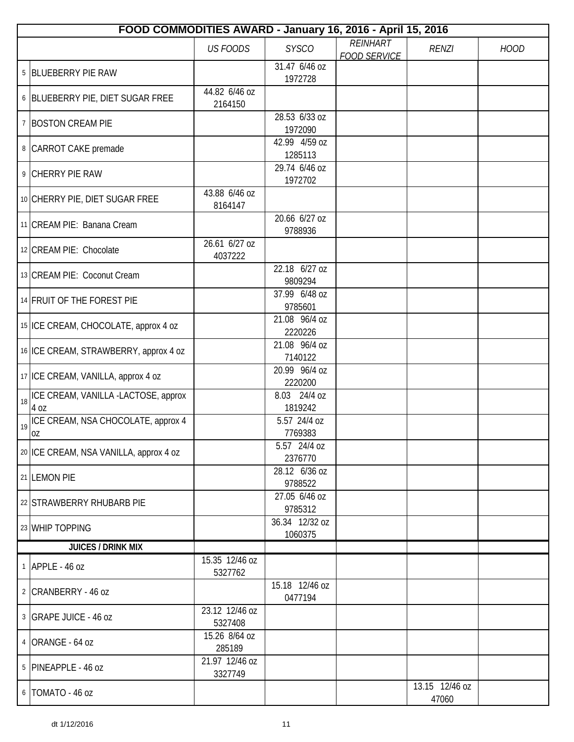|    | FOOD COMMODITIES AWARD - January 16, 2016 - April 15, 2016 |                           |                           |                                        |                         |             |  |  |
|----|------------------------------------------------------------|---------------------------|---------------------------|----------------------------------------|-------------------------|-------------|--|--|
|    |                                                            | <b>US FOODS</b>           | <b>SYSCO</b>              | <b>REINHART</b><br><b>FOOD SERVICE</b> | <b>RENZI</b>            | <b>HOOD</b> |  |  |
|    | 5 BLUEBERRY PIE RAW                                        |                           | 31.47 6/46 oz<br>1972728  |                                        |                         |             |  |  |
|    | 6 BLUEBERRY PIE, DIET SUGAR FREE                           | 44.82 6/46 oz<br>2164150  |                           |                                        |                         |             |  |  |
|    | 7 BOSTON CREAM PIE                                         |                           | 28.53 6/33 oz<br>1972090  |                                        |                         |             |  |  |
|    | 8 CARROT CAKE premade                                      |                           | 42.99 4/59 oz<br>1285113  |                                        |                         |             |  |  |
|    | 9 CHERRY PIE RAW                                           |                           | 29.74 6/46 oz<br>1972702  |                                        |                         |             |  |  |
|    | 10 CHERRY PIE, DIET SUGAR FREE                             | 43.88 6/46 oz<br>8164147  |                           |                                        |                         |             |  |  |
|    | 11 CREAM PIE: Banana Cream                                 |                           | 20.66 6/27 oz<br>9788936  |                                        |                         |             |  |  |
|    | 12 CREAM PIE: Chocolate                                    | 26.61 6/27 oz<br>4037222  |                           |                                        |                         |             |  |  |
|    | 13 CREAM PIE: Coconut Cream                                |                           | 22.18 6/27 oz<br>9809294  |                                        |                         |             |  |  |
|    | 14 FRUIT OF THE FOREST PIE                                 |                           | 37.99 6/48 oz<br>9785601  |                                        |                         |             |  |  |
|    | 15 ICE CREAM, CHOCOLATE, approx 4 oz                       |                           | 21.08 96/4 oz<br>2220226  |                                        |                         |             |  |  |
|    | 16 ICE CREAM, STRAWBERRY, approx 4 oz                      |                           | 21.08 96/4 oz<br>7140122  |                                        |                         |             |  |  |
|    | 17 ICE CREAM, VANILLA, approx 4 oz                         |                           | 20.99 96/4 oz<br>2220200  |                                        |                         |             |  |  |
| 18 | ICE CREAM, VANILLA -LACTOSE, approx<br>4 oz                |                           | 8.03 24/4 oz<br>1819242   |                                        |                         |             |  |  |
| 19 | ICE CREAM, NSA CHOCOLATE, approx 4<br>0Z                   |                           | 5.57 24/4 oz<br>7769383   |                                        |                         |             |  |  |
|    | 20 ICE CREAM, NSA VANILLA, approx 4 oz                     |                           | 5.57 24/4 oz<br>2376770   |                                        |                         |             |  |  |
|    | 21 LEMON PIE                                               |                           | 28.12 6/36 oz<br>9788522  |                                        |                         |             |  |  |
|    | 22 STRAWBERRY RHUBARB PIE                                  |                           | 27.05 6/46 oz<br>9785312  |                                        |                         |             |  |  |
|    | 23 WHIP TOPPING                                            |                           | 36.34 12/32 oz<br>1060375 |                                        |                         |             |  |  |
|    | <b>JUICES / DRINK MIX</b>                                  |                           |                           |                                        |                         |             |  |  |
|    | 1 APPLE - 46 oz                                            | 15.35 12/46 oz<br>5327762 |                           |                                        |                         |             |  |  |
|    | 2 CRANBERRY - 46 oz                                        |                           | 15.18 12/46 oz<br>0477194 |                                        |                         |             |  |  |
|    | 3 GRAPE JUICE - 46 oz                                      | 23.12 12/46 oz<br>5327408 |                           |                                        |                         |             |  |  |
|    | 4 ORANGE - 64 oz                                           | 15.26 8/64 oz<br>285189   |                           |                                        |                         |             |  |  |
|    | 5 PINEAPPLE - 46 oz                                        | 21.97 12/46 oz<br>3327749 |                           |                                        |                         |             |  |  |
|    | 6 TOMATO - 46 oz                                           |                           |                           |                                        | 13.15 12/46 oz<br>47060 |             |  |  |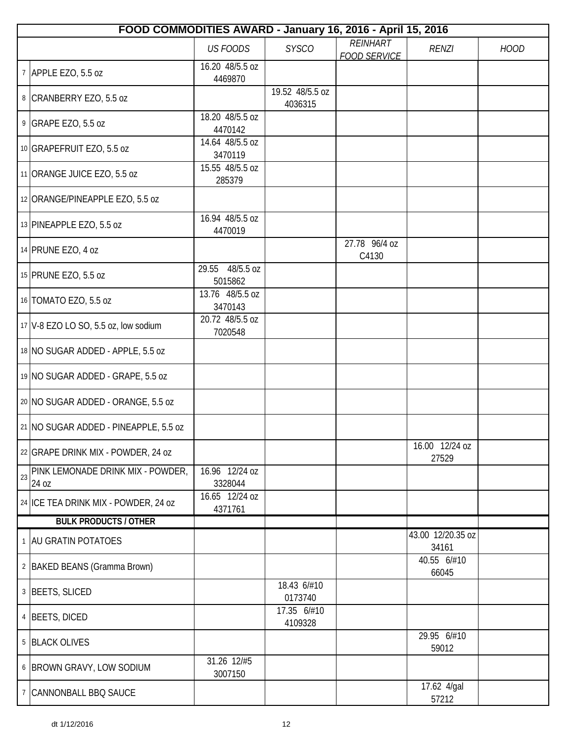|    | FOOD COMMODITIES AWARD - January 16, 2016 - April 15, 2016 |                               |                            |                                        |                            |             |  |  |
|----|------------------------------------------------------------|-------------------------------|----------------------------|----------------------------------------|----------------------------|-------------|--|--|
|    |                                                            | <b>US FOODS</b>               | <b>SYSCO</b>               | <b>REINHART</b><br><b>FOOD SERVICE</b> | <b>RENZI</b>               | <b>HOOD</b> |  |  |
|    | 7 APPLE EZO, 5.5 oz                                        | 16.20 48/5.5 oz<br>4469870    |                            |                                        |                            |             |  |  |
|    | 8 CRANBERRY EZO, 5.5 oz                                    |                               | 19.52 48/5.5 oz<br>4036315 |                                        |                            |             |  |  |
|    | 9 GRAPE EZO, 5.5 oz                                        | 18.20 48/5.5 oz<br>4470142    |                            |                                        |                            |             |  |  |
|    | 10 GRAPEFRUIT EZO, 5.5 oz                                  | 14.64 48/5.5 oz<br>3470119    |                            |                                        |                            |             |  |  |
|    | 11 ORANGE JUICE EZO, 5.5 oz                                | 15.55 48/5.5 oz<br>285379     |                            |                                        |                            |             |  |  |
|    | 12 ORANGE/PINEAPPLE EZO, 5.5 oz                            |                               |                            |                                        |                            |             |  |  |
|    | 13 PINEAPPLE EZO, 5.5 oz                                   | 16.94 48/5.5 oz<br>4470019    |                            |                                        |                            |             |  |  |
|    | 14 PRUNE EZO, 4 oz                                         |                               |                            | 27.78 96/4 oz<br>C4130                 |                            |             |  |  |
|    | 15 PRUNE EZO, 5.5 oz                                       | 48/5.5 oz<br>29.55<br>5015862 |                            |                                        |                            |             |  |  |
|    | 16 TOMATO EZO, 5.5 oz                                      | 13.76 48/5.5 oz<br>3470143    |                            |                                        |                            |             |  |  |
|    | 17 V-8 EZO LO SO, 5.5 oz, low sodium                       | 20.72 48/5.5 oz<br>7020548    |                            |                                        |                            |             |  |  |
|    | 18 NO SUGAR ADDED - APPLE, 5.5 oz                          |                               |                            |                                        |                            |             |  |  |
|    | 19 NO SUGAR ADDED - GRAPE, 5.5 oz                          |                               |                            |                                        |                            |             |  |  |
|    | 20 NO SUGAR ADDED - ORANGE, 5.5 oz                         |                               |                            |                                        |                            |             |  |  |
|    | 21 NO SUGAR ADDED - PINEAPPLE, 5.5 oz                      |                               |                            |                                        |                            |             |  |  |
|    | 22 GRAPE DRINK MIX - POWDER, 24 oz                         |                               |                            |                                        | 16.00 12/24 oz<br>27529    |             |  |  |
| 23 | PINK LEMONADE DRINK MIX - POWDER,<br>24 oz                 | 16.96 12/24 oz<br>3328044     |                            |                                        |                            |             |  |  |
|    | 24 ICE TEA DRINK MIX - POWDER, 24 oz                       | 16.65 12/24 oz<br>4371761     |                            |                                        |                            |             |  |  |
|    | <b>BULK PRODUCTS / OTHER</b>                               |                               |                            |                                        |                            |             |  |  |
|    | 1 AU GRATIN POTATOES                                       |                               |                            |                                        | 43.00 12/20.35 oz<br>34161 |             |  |  |
|    | 2 BAKED BEANS (Gramma Brown)                               |                               |                            |                                        | 40.55 6/#10<br>66045       |             |  |  |
|    | 3 BEETS, SLICED                                            |                               | 18.43 6/#10<br>0173740     |                                        |                            |             |  |  |
|    | 4 BEETS, DICED                                             |                               | 17.35 6/#10<br>4109328     |                                        |                            |             |  |  |
|    | 5 BLACK OLIVES                                             |                               |                            |                                        | 29.95 6/#10<br>59012       |             |  |  |
|    | 6 BROWN GRAVY, LOW SODIUM                                  | 31.26 12/#5<br>3007150        |                            |                                        |                            |             |  |  |
|    | 7 CANNONBALL BBQ SAUCE                                     |                               |                            |                                        | 17.62 4/gal<br>57212       |             |  |  |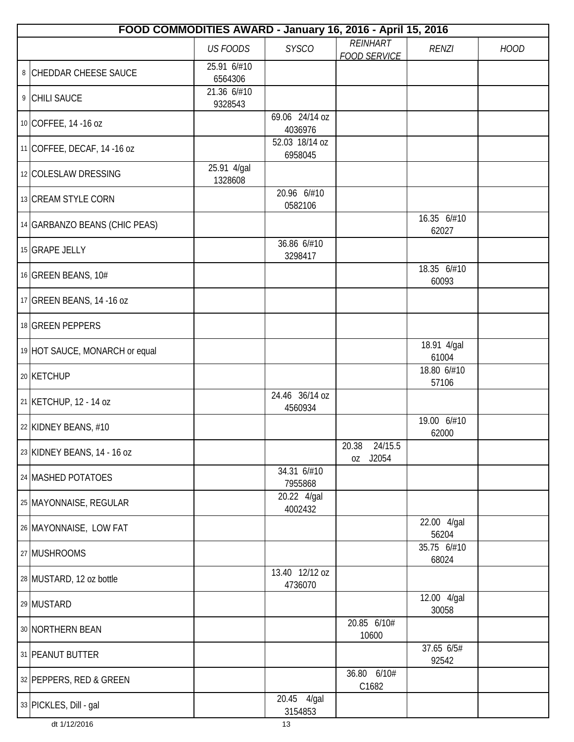| FOOD COMMODITIES AWARD - January 16, 2016 - April 15, 2016 |                        |                           |                                 |                      |             |  |  |
|------------------------------------------------------------|------------------------|---------------------------|---------------------------------|----------------------|-------------|--|--|
|                                                            | <b>US FOODS</b>        | <b>SYSCO</b>              | REINHART<br><b>FOOD SERVICE</b> | <b>RENZI</b>         | <b>HOOD</b> |  |  |
| 8 CHEDDAR CHEESE SAUCE                                     | 25.91 6/#10<br>6564306 |                           |                                 |                      |             |  |  |
| 9 CHILI SAUCE                                              | 21.36 6/#10<br>9328543 |                           |                                 |                      |             |  |  |
| 10 COFFEE, 14 -16 oz                                       |                        | 69.06 24/14 oz<br>4036976 |                                 |                      |             |  |  |
| 11 COFFEE, DECAF, 14 -16 oz                                |                        | 52.03 18/14 oz<br>6958045 |                                 |                      |             |  |  |
| 12 COLESLAW DRESSING                                       | 25.91 4/gal<br>1328608 |                           |                                 |                      |             |  |  |
| 13 CREAM STYLE CORN                                        |                        | 20.96 6/#10<br>0582106    |                                 |                      |             |  |  |
| 14 GARBANZO BEANS (CHIC PEAS)                              |                        |                           |                                 | 16.35 6/#10<br>62027 |             |  |  |
| 15 GRAPE JELLY                                             |                        | 36.86 6/#10<br>3298417    |                                 |                      |             |  |  |
| 16 GREEN BEANS, 10#                                        |                        |                           |                                 | 18.35 6/#10<br>60093 |             |  |  |
| 17 GREEN BEANS, 14 -16 oz                                  |                        |                           |                                 |                      |             |  |  |
| 18 GREEN PEPPERS                                           |                        |                           |                                 |                      |             |  |  |
| 19 HOT SAUCE, MONARCH or equal                             |                        |                           |                                 | 18.91 4/gal<br>61004 |             |  |  |
| 20 KETCHUP                                                 |                        |                           |                                 | 18.80 6/#10<br>57106 |             |  |  |
| 21 KETCHUP, 12 - 14 oz                                     |                        | 24.46 36/14 oz<br>4560934 |                                 |                      |             |  |  |
| 22 KIDNEY BEANS, #10                                       |                        |                           |                                 | 19.00 6/#10<br>62000 |             |  |  |
| 23 KIDNEY BEANS, 14 - 16 oz                                |                        |                           | 24/15.5<br>20.38<br>oz J2054    |                      |             |  |  |
| 24 MASHED POTATOES                                         |                        | 34.31 6/#10<br>7955868    |                                 |                      |             |  |  |
| 25 MAYONNAISE, REGULAR                                     |                        | 20.22 4/gal<br>4002432    |                                 |                      |             |  |  |
| 26 MAYONNAISE, LOW FAT                                     |                        |                           |                                 | 22.00 4/gal<br>56204 |             |  |  |
| 27 MUSHROOMS                                               |                        |                           |                                 | 35.75 6/#10<br>68024 |             |  |  |
| 28 MUSTARD, 12 oz bottle                                   |                        | 13.40 12/12 oz<br>4736070 |                                 |                      |             |  |  |
| 29 MUSTARD                                                 |                        |                           |                                 | 12.00 4/gal<br>30058 |             |  |  |
| 30 NORTHERN BEAN                                           |                        |                           | 20.85 6/10#<br>10600            |                      |             |  |  |
| 31 PEANUT BUTTER                                           |                        |                           |                                 | 37.65 6/5#<br>92542  |             |  |  |
| 32 PEPPERS, RED & GREEN                                    |                        |                           | 36.80 6/10#<br>C1682            |                      |             |  |  |
| 33 PICKLES, Dill - gal                                     |                        | 20.45 4/gal<br>3154853    |                                 |                      |             |  |  |
| dt 1/12/2016                                               |                        | 13                        |                                 |                      |             |  |  |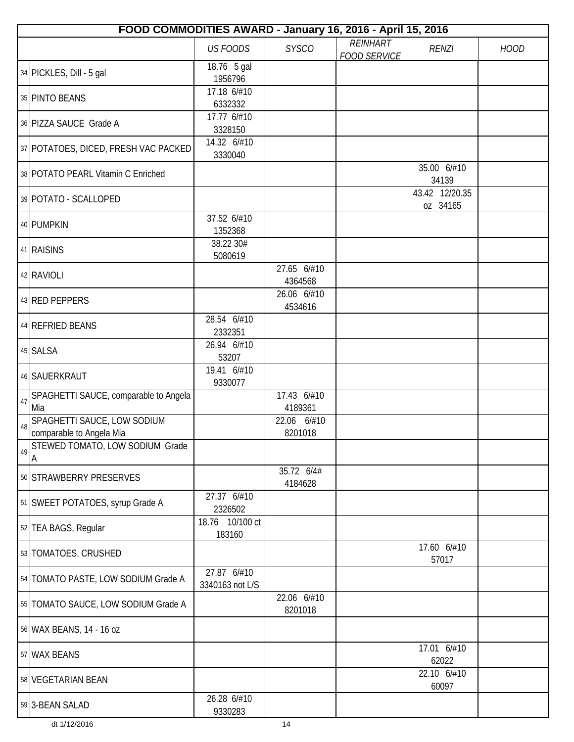|    | FOOD COMMODITIES AWARD - January 16, 2016 - April 15, 2016 |                                |                           |                                 |                            |             |  |
|----|------------------------------------------------------------|--------------------------------|---------------------------|---------------------------------|----------------------------|-------------|--|
|    |                                                            | <b>US FOODS</b>                | <b>SYSCO</b>              | REINHART<br><b>FOOD SERVICE</b> | <b>RENZI</b>               | <b>HOOD</b> |  |
|    | 34 PICKLES, Dill - 5 gal                                   | 18.76 5 gal<br>1956796         |                           |                                 |                            |             |  |
|    | 35 PINTO BEANS                                             | 17.18 6/#10<br>6332332         |                           |                                 |                            |             |  |
|    | 36 PIZZA SAUCE Grade A                                     | 17.77 6/#10<br>3328150         |                           |                                 |                            |             |  |
|    | 37 POTATOES, DICED, FRESH VAC PACKED                       | 14.32 6/#10<br>3330040         |                           |                                 |                            |             |  |
|    | 38 POTATO PEARL Vitamin C Enriched                         |                                |                           |                                 | 35.00 6/#10<br>34139       |             |  |
|    | 39 POTATO - SCALLOPED                                      |                                |                           |                                 | 43.42 12/20.35<br>oz 34165 |             |  |
|    | 40 PUMPKIN                                                 | 37.52 6/#10<br>1352368         |                           |                                 |                            |             |  |
|    | 41 RAISINS                                                 | 38.22 30#<br>5080619           |                           |                                 |                            |             |  |
|    | 42 RAVIOLI                                                 |                                | 27.65 6/#10<br>4364568    |                                 |                            |             |  |
|    | 43 RED PEPPERS                                             |                                | 26.06 6/#10<br>4534616    |                                 |                            |             |  |
|    | 44 REFRIED BEANS                                           | 28.54 6/#10<br>2332351         |                           |                                 |                            |             |  |
|    | 45 SALSA                                                   | 26.94 6/#10<br>53207           |                           |                                 |                            |             |  |
|    | 46 SAUERKRAUT                                              | 19.41 6/#10<br>9330077         |                           |                                 |                            |             |  |
| 47 | SPAGHETTI SAUCE, comparable to Angela<br>Mia               |                                | 17.43 6/#10<br>4189361    |                                 |                            |             |  |
| 48 | SPAGHETTI SAUCE, LOW SODIUM<br>comparable to Angela Mia    |                                | 6/#10<br>22.06<br>8201018 |                                 |                            |             |  |
| 49 | STEWED TOMATO, LOW SODIUM Grade<br>Α                       |                                |                           |                                 |                            |             |  |
|    | 50 STRAWBERRY PRESERVES                                    |                                | 35.72 6/4#<br>4184628     |                                 |                            |             |  |
|    | 51 SWEET POTATOES, syrup Grade A                           | 27.37 6/#10<br>2326502         |                           |                                 |                            |             |  |
|    | 52 TEA BAGS, Regular                                       | 18.76 10/100 ct<br>183160      |                           |                                 |                            |             |  |
|    | 53 TOMATOES, CRUSHED                                       |                                |                           |                                 | 17.60 6/#10<br>57017       |             |  |
|    | 54 TOMATO PASTE, LOW SODIUM Grade A                        | 27.87 6/#10<br>3340163 not L/S |                           |                                 |                            |             |  |
|    | 55   TOMATO SAUCE, LOW SODIUM Grade A                      |                                | 22.06 6/#10<br>8201018    |                                 |                            |             |  |
|    | 56 WAX BEANS, 14 - 16 oz                                   |                                |                           |                                 |                            |             |  |
|    | 57 WAX BEANS                                               |                                |                           |                                 | 17.01 6/#10<br>62022       |             |  |
|    | 58 VEGETARIAN BEAN                                         |                                |                           |                                 | 22.10 6/#10<br>60097       |             |  |
|    | 59 3-BEAN SALAD                                            | 26.28 6/#10<br>9330283         |                           |                                 |                            |             |  |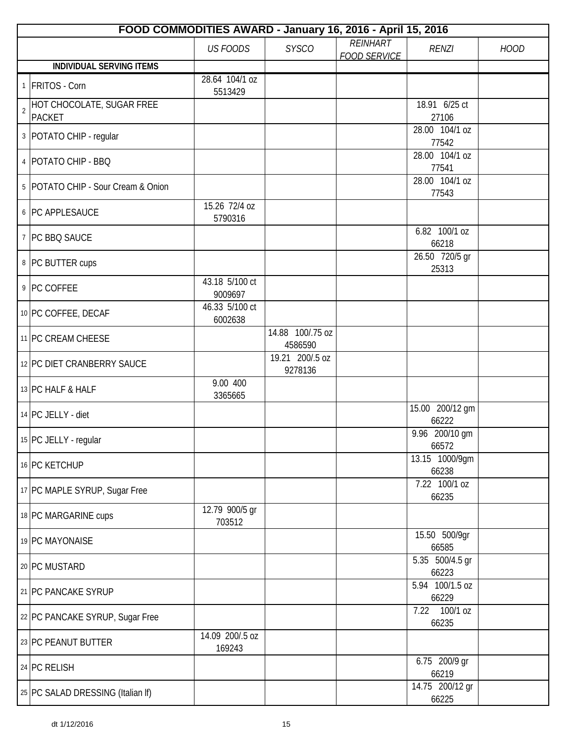|                |                                            | FOOD COMMODITIES AWARD - January 16, 2016 - April 15, 2016 |                             |                                        |                           |             |
|----------------|--------------------------------------------|------------------------------------------------------------|-----------------------------|----------------------------------------|---------------------------|-------------|
|                |                                            | <b>US FOODS</b>                                            | <b>SYSCO</b>                | <b>REINHART</b><br><b>FOOD SERVICE</b> | <b>RENZI</b>              | <b>HOOD</b> |
|                | <b>INDIVIDUAL SERVING ITEMS</b>            |                                                            |                             |                                        |                           |             |
|                | 1   FRITOS - Corn                          | 28.64 104/1 oz<br>5513429                                  |                             |                                        |                           |             |
| $\overline{2}$ | HOT CHOCOLATE, SUGAR FREE<br><b>PACKET</b> |                                                            |                             |                                        | 18.91 6/25 ct<br>27106    |             |
|                | 3   POTATO CHIP - regular                  |                                                            |                             |                                        | 28.00 104/1 oz            |             |
|                |                                            |                                                            |                             |                                        | 77542<br>28.00 104/1 oz   |             |
|                | 4   POTATO CHIP - BBQ                      |                                                            |                             |                                        | 77541                     |             |
|                | 5 POTATO CHIP - Sour Cream & Onion         |                                                            |                             |                                        | 28.00 104/1 oz<br>77543   |             |
|                | 6 PC APPLESAUCE                            | 15.26 72/4 oz<br>5790316                                   |                             |                                        |                           |             |
|                | 7   PC BBQ SAUCE                           |                                                            |                             |                                        | 6.82 100/1 oz<br>66218    |             |
|                | 8 PC BUTTER cups                           |                                                            |                             |                                        | 26.50 720/5 gr<br>25313   |             |
|                | 9 PC COFFEE                                | 43.18 5/100 ct<br>9009697                                  |                             |                                        |                           |             |
|                | 10 PC COFFEE, DECAF                        | 46.33 5/100 ct<br>6002638                                  |                             |                                        |                           |             |
|                | 11 PC CREAM CHEESE                         |                                                            | 14.88 100/.75 oz<br>4586590 |                                        |                           |             |
|                | 12 PC DIET CRANBERRY SAUCE                 |                                                            | 19.21 200/.5 oz<br>9278136  |                                        |                           |             |
|                | 13 PC HALF & HALF                          | 9.00 400<br>3365665                                        |                             |                                        |                           |             |
|                | 14 PC JELLY - diet                         |                                                            |                             |                                        | 15.00 200/12 gm<br>66222  |             |
|                | 15 PC JELLY - regular                      |                                                            |                             |                                        | 9.96 200/10 gm<br>66572   |             |
|                | 16 PC KETCHUP                              |                                                            |                             |                                        | 13.15 1000/9gm<br>66238   |             |
|                | 17 PC MAPLE SYRUP, Sugar Free              |                                                            |                             |                                        | 7.22 100/1 oz<br>66235    |             |
|                | 18 PC MARGARINE cups                       | 12.79 900/5 gr<br>703512                                   |                             |                                        |                           |             |
|                | 19 PC MAYONAISE                            |                                                            |                             |                                        | 15.50 500/9gr<br>66585    |             |
|                | 20 PC MUSTARD                              |                                                            |                             |                                        | 5.35 500/4.5 gr<br>66223  |             |
|                | 21 PC PANCAKE SYRUP                        |                                                            |                             |                                        | 5.94 100/1.5 oz<br>66229  |             |
|                | 22 PC PANCAKE SYRUP, Sugar Free            |                                                            |                             |                                        | 7.22<br>100/1 oz<br>66235 |             |
|                | 23 PC PEANUT BUTTER                        | 14.09 200/.5 oz<br>169243                                  |                             |                                        |                           |             |
|                | 24 PC RELISH                               |                                                            |                             |                                        | 6.75 200/9 gr<br>66219    |             |
|                | 25 PC SALAD DRESSING (Italian If)          |                                                            |                             |                                        | 14.75 200/12 gr<br>66225  |             |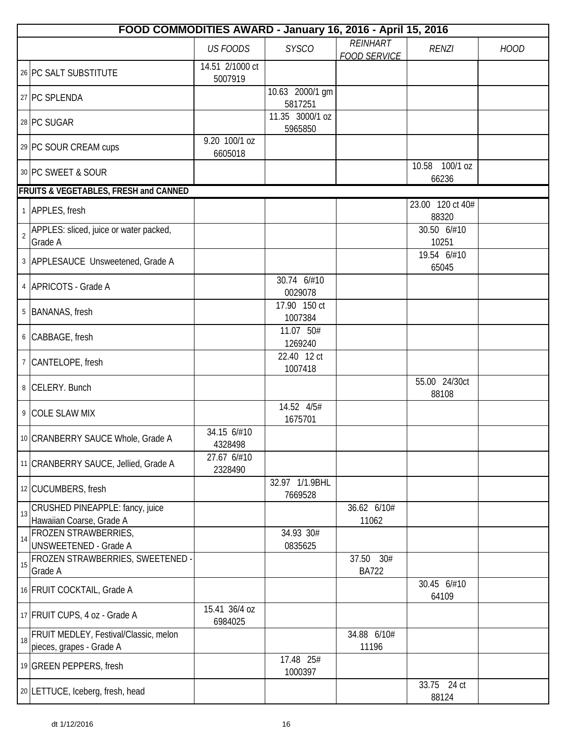|                | FOOD COMMODITIES AWARD - January 16, 2016 - April 15, 2016        |                            |                            |                                        |                           |             |  |  |
|----------------|-------------------------------------------------------------------|----------------------------|----------------------------|----------------------------------------|---------------------------|-------------|--|--|
|                |                                                                   | <b>US FOODS</b>            | <b>SYSCO</b>               | <b>REINHART</b><br><b>FOOD SERVICE</b> | <b>RENZI</b>              | <b>HOOD</b> |  |  |
|                | 26 PC SALT SUBSTITUTE                                             | 14.51 2/1000 ct<br>5007919 |                            |                                        |                           |             |  |  |
|                | 27 PC SPLENDA                                                     |                            | 10.63 2000/1 gm<br>5817251 |                                        |                           |             |  |  |
|                | 28 PC SUGAR                                                       |                            | 11.35 3000/1 oz<br>5965850 |                                        |                           |             |  |  |
|                | 29 PC SOUR CREAM cups                                             | 9.20 100/1 oz<br>6605018   |                            |                                        |                           |             |  |  |
|                | 30 PC SWEET & SOUR                                                |                            |                            |                                        | 10.58 100/1 oz<br>66236   |             |  |  |
|                | FRUITS & VEGETABLES, FRESH and CANNED                             |                            |                            |                                        |                           |             |  |  |
|                | 1 APPLES, fresh                                                   |                            |                            |                                        | 23.00 120 ct 40#<br>88320 |             |  |  |
| $\overline{2}$ | APPLES: sliced, juice or water packed,<br>Grade A                 |                            |                            |                                        | 30.50 6/#10<br>10251      |             |  |  |
|                | 3 APPLESAUCE Unsweetened, Grade A                                 |                            |                            |                                        | 19.54 6/#10<br>65045      |             |  |  |
|                | 4 APRICOTS - Grade A                                              |                            | 30.74 6/#10<br>0029078     |                                        |                           |             |  |  |
|                | 5 BANANAS, fresh                                                  |                            | 17.90 150 ct<br>1007384    |                                        |                           |             |  |  |
|                | 6 CABBAGE, fresh                                                  |                            | 11.07 50#<br>1269240       |                                        |                           |             |  |  |
|                | 7 CANTELOPE, fresh                                                |                            | 22.40 12 ct<br>1007418     |                                        |                           |             |  |  |
|                | 8 CELERY. Bunch                                                   |                            |                            |                                        | 55.00 24/30ct<br>88108    |             |  |  |
|                | 9 COLE SLAW MIX                                                   |                            | 14.52 4/5#<br>1675701      |                                        |                           |             |  |  |
|                | 10 CRANBERRY SAUCE Whole, Grade A                                 | 34.15 6/#10<br>4328498     |                            |                                        |                           |             |  |  |
|                | 11 CRANBERRY SAUCE, Jellied, Grade A                              | 27.67 6/#10<br>2328490     |                            |                                        |                           |             |  |  |
|                | 12 CUCUMBERS, fresh                                               |                            | 32.97 1/1.9BHL<br>7669528  |                                        |                           |             |  |  |
| 13             | CRUSHED PINEAPPLE: fancy, juice<br>Hawaiian Coarse, Grade A       |                            |                            | 36.62 6/10#<br>11062                   |                           |             |  |  |
| 14             | <b>FROZEN STRAWBERRIES,</b><br><b>UNSWEETENED - Grade A</b>       |                            | 34.93 30#<br>0835625       |                                        |                           |             |  |  |
| 15             | FROZEN STRAWBERRIES, SWEETENED -<br>Grade A                       |                            |                            | 30#<br>37.50<br><b>BA722</b>           |                           |             |  |  |
|                | 16 FRUIT COCKTAIL, Grade A                                        |                            |                            |                                        | 30.45 6/#10<br>64109      |             |  |  |
|                | 17 FRUIT CUPS, 4 oz - Grade A                                     | 15.41 36/4 oz<br>6984025   |                            |                                        |                           |             |  |  |
| 18             | FRUIT MEDLEY, Festival/Classic, melon<br>pieces, grapes - Grade A |                            |                            | 34.88 6/10#<br>11196                   |                           |             |  |  |
|                | 19 GREEN PEPPERS, fresh                                           |                            | 17.48 25#<br>1000397       |                                        |                           |             |  |  |
|                | 20 LETTUCE, Iceberg, fresh, head                                  |                            |                            |                                        | 33.75 24 ct<br>88124      |             |  |  |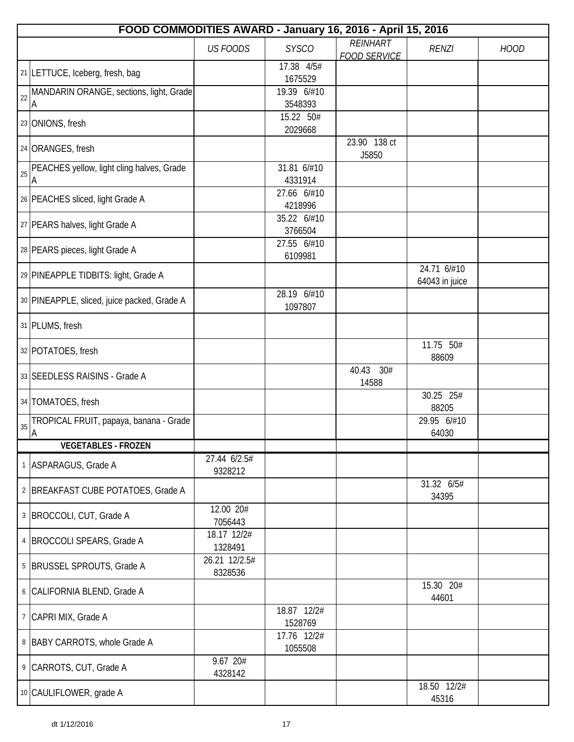|    | FOOD COMMODITIES AWARD - January 16, 2016 - April 15, 2016 |                          |                        |                                        |                               |             |
|----|------------------------------------------------------------|--------------------------|------------------------|----------------------------------------|-------------------------------|-------------|
|    |                                                            | <b>US FOODS</b>          | <b>SYSCO</b>           | <b>REINHART</b><br><b>FOOD SERVICE</b> | <b>RENZI</b>                  | <b>HOOD</b> |
|    | 21 LETTUCE, Iceberg, fresh, bag                            |                          | 17.38 4/5#<br>1675529  |                                        |                               |             |
| 22 | MANDARIN ORANGE, sections, light, Grade<br>ΙA              |                          | 19.39 6/#10<br>3548393 |                                        |                               |             |
|    | 23 ONIONS, fresh                                           |                          | 15.22 50#<br>2029668   |                                        |                               |             |
|    | 24 ORANGES, fresh                                          |                          |                        | 23.90 138 ct<br>J5850                  |                               |             |
|    | 25 PEACHES yellow, light cling halves, Grade<br>IА         |                          | 31.81 6/#10<br>4331914 |                                        |                               |             |
|    | 26 PEACHES sliced, light Grade A                           |                          | 27.66 6/#10<br>4218996 |                                        |                               |             |
|    | 27 PEARS halves, light Grade A                             |                          | 35.22 6/#10<br>3766504 |                                        |                               |             |
|    | 28 PEARS pieces, light Grade A                             |                          | 27.55 6/#10<br>6109981 |                                        |                               |             |
|    | 29 PINEAPPLE TIDBITS: light, Grade A                       |                          |                        |                                        | 24.71 6/#10<br>64043 in juice |             |
|    | 30 PINEAPPLE, sliced, juice packed, Grade A                |                          | 28.19 6/#10<br>1097807 |                                        |                               |             |
|    | 31 PLUMS, fresh                                            |                          |                        |                                        |                               |             |
|    | 32 POTATOES, fresh                                         |                          |                        |                                        | 11.75 50#<br>88609            |             |
|    | 33 SEEDLESS RAISINS - Grade A                              |                          |                        | 40.43<br>30#<br>14588                  |                               |             |
|    | 34   TOMATOES, fresh                                       |                          |                        |                                        | 30.25 25#<br>88205            |             |
| 35 | TROPICAL FRUIT, papaya, banana - Grade<br> A               |                          |                        |                                        | 29.95 6/#10<br>64030          |             |
|    | <b>VEGETABLES - FROZEN</b>                                 |                          |                        |                                        |                               |             |
|    | 1 ASPARAGUS, Grade A                                       | 27.44 6/2.5#<br>9328212  |                        |                                        |                               |             |
|    | 2 BREAKFAST CUBE POTATOES, Grade A                         |                          |                        |                                        | 31.32 6/5#<br>34395           |             |
|    | 3  BROCCOLI, CUT, Grade A                                  | 12.00 20#<br>7056443     |                        |                                        |                               |             |
|    | 4  BROCCOLI SPEARS, Grade A                                | 18.17 12/2#<br>1328491   |                        |                                        |                               |             |
|    | 5 BRUSSEL SPROUTS, Grade A                                 | 26.21 12/2.5#<br>8328536 |                        |                                        |                               |             |
|    | 6 CALIFORNIA BLEND, Grade A                                |                          |                        |                                        | 15.30 20#<br>44601            |             |
|    | 7 CAPRI MIX, Grade A                                       |                          | 18.87 12/2#<br>1528769 |                                        |                               |             |
|    | 8   BABY CARROTS, whole Grade A                            |                          | 17.76 12/2#<br>1055508 |                                        |                               |             |
|    | 9 CARROTS, CUT, Grade A                                    | 9.67 20#<br>4328142      |                        |                                        |                               |             |
|    | 10 CAULIFLOWER, grade A                                    |                          |                        |                                        | 18.50 12/2#<br>45316          |             |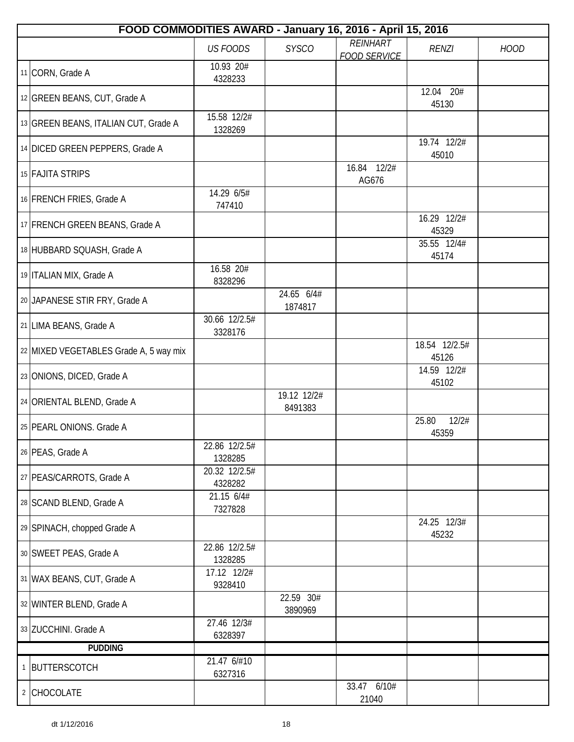| FOOD COMMODITIES AWARD - January 16, 2016 - April 15, 2016 |                          |                        |                                        |                         |             |  |
|------------------------------------------------------------|--------------------------|------------------------|----------------------------------------|-------------------------|-------------|--|
|                                                            | <b>US FOODS</b>          | <b>SYSCO</b>           | <b>REINHART</b><br><b>FOOD SERVICE</b> | <b>RENZI</b>            | <b>HOOD</b> |  |
| 11 CORN, Grade A                                           | 10.93 20#<br>4328233     |                        |                                        |                         |             |  |
| 12 GREEN BEANS, CUT, Grade A                               |                          |                        |                                        | 12.04 20#<br>45130      |             |  |
| 13 GREEN BEANS, ITALIAN CUT, Grade A                       | 15.58 12/2#<br>1328269   |                        |                                        |                         |             |  |
| 14 DICED GREEN PEPPERS, Grade A                            |                          |                        |                                        | 19.74 12/2#<br>45010    |             |  |
| 15 FAJITA STRIPS                                           |                          |                        | 16.84 12/2#<br>AG676                   |                         |             |  |
| 16 FRENCH FRIES, Grade A                                   | 14.29 6/5#<br>747410     |                        |                                        |                         |             |  |
| 17 FRENCH GREEN BEANS, Grade A                             |                          |                        |                                        | 16.29 12/2#<br>45329    |             |  |
| 18 HUBBARD SQUASH, Grade A                                 |                          |                        |                                        | 35.55 12/4#<br>45174    |             |  |
| 19   ITALIAN MIX, Grade A                                  | 16.58 20#<br>8328296     |                        |                                        |                         |             |  |
| 20 JAPANESE STIR FRY, Grade A                              |                          | 24.65 6/4#<br>1874817  |                                        |                         |             |  |
| 21 LIMA BEANS, Grade A                                     | 30.66 12/2.5#<br>3328176 |                        |                                        |                         |             |  |
| 22 MIXED VEGETABLES Grade A, 5 way mix                     |                          |                        |                                        | 18.54 12/2.5#<br>45126  |             |  |
| 23 ONIONS, DICED, Grade A                                  |                          |                        |                                        | 14.59 12/2#<br>45102    |             |  |
| 24 ORIENTAL BLEND, Grade A                                 |                          | 19.12 12/2#<br>8491383 |                                        |                         |             |  |
| 25 PEARL ONIONS. Grade A                                   |                          |                        |                                        | 25.80<br>12/2#<br>45359 |             |  |
| 26 PEAS, Grade A                                           | 22.86 12/2.5#<br>1328285 |                        |                                        |                         |             |  |
| 27   PEAS/CARROTS, Grade A                                 | 20.32 12/2.5#<br>4328282 |                        |                                        |                         |             |  |
| 28 SCAND BLEND, Grade A                                    | 21.15 6/4#<br>7327828    |                        |                                        |                         |             |  |
| 29 SPINACH, chopped Grade A                                |                          |                        |                                        | 24.25 12/3#<br>45232    |             |  |
| 30 SWEET PEAS, Grade A                                     | 22.86 12/2.5#<br>1328285 |                        |                                        |                         |             |  |
| 31 WAX BEANS, CUT, Grade A                                 | 17.12 12/2#<br>9328410   |                        |                                        |                         |             |  |
| 32 WINTER BLEND, Grade A                                   |                          | 22.59 30#<br>3890969   |                                        |                         |             |  |
| 33 ZUCCHINI. Grade A                                       | 27.46 12/3#<br>6328397   |                        |                                        |                         |             |  |
| <b>PUDDING</b>                                             |                          |                        |                                        |                         |             |  |
| 1 BUTTERSCOTCH                                             | 21.47 6/#10<br>6327316   |                        |                                        |                         |             |  |
| 2 CHOCOLATE                                                |                          |                        | 33.47 6/10#<br>21040                   |                         |             |  |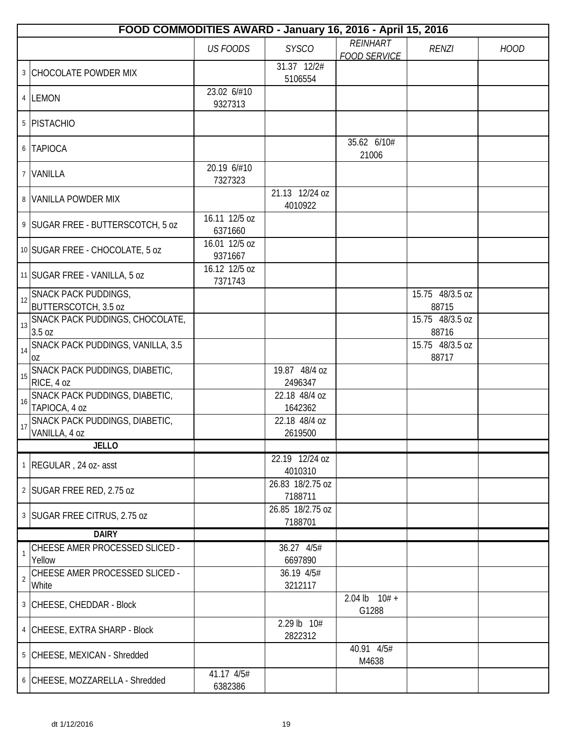|                | FOOD COMMODITIES AWARD - January 16, 2016 - April 15, 2016                 |                          |                             |                                 |                          |             |
|----------------|----------------------------------------------------------------------------|--------------------------|-----------------------------|---------------------------------|--------------------------|-------------|
|                |                                                                            | <b>US FOODS</b>          | <b>SYSCO</b>                | REINHART<br><b>FOOD SERVICE</b> | <b>RENZI</b>             | <b>HOOD</b> |
|                | 3 CHOCOLATE POWDER MIX                                                     |                          | 31.37 12/2#<br>5106554      |                                 |                          |             |
|                | 4 LEMON                                                                    | 23.02 6/#10<br>9327313   |                             |                                 |                          |             |
|                | 5 PISTACHIO                                                                |                          |                             |                                 |                          |             |
|                | 6 TAPIOCA                                                                  |                          |                             | 35.62 6/10#<br>21006            |                          |             |
|                | 7 VANILLA                                                                  | 20.19 6/#10<br>7327323   |                             |                                 |                          |             |
|                | 8 VANILLA POWDER MIX                                                       |                          | 21.13 12/24 oz<br>4010922   |                                 |                          |             |
|                | 9 SUGAR FREE - BUTTERSCOTCH, 5 oz                                          | 16.11 12/5 oz<br>6371660 |                             |                                 |                          |             |
|                | 10 SUGAR FREE - CHOCOLATE, 5 oz                                            | 16.01 12/5 oz<br>9371667 |                             |                                 |                          |             |
|                | 11 SUGAR FREE - VANILLA, 5 oz                                              | 16.12 12/5 oz<br>7371743 |                             |                                 |                          |             |
| 12             | <b>SNACK PACK PUDDINGS,</b><br>BUTTERSCOTCH, 3.5 oz                        |                          |                             |                                 | 15.75 48/3.5 oz<br>88715 |             |
|                | $\left  \frac{13}{3.5 \text{ oz}} \right $ SNACK PACK PUDDINGS, CHOCOLATE, |                          |                             |                                 | 15.75 48/3.5 oz<br>88716 |             |
| 14             | SNACK PACK PUDDINGS, VANILLA, 3.5<br>0Z                                    |                          |                             |                                 | 15.75 48/3.5 oz<br>88717 |             |
| 15             | SNACK PACK PUDDINGS, DIABETIC,<br>RICE, 4 oz                               |                          | 19.87 48/4 oz<br>2496347    |                                 |                          |             |
| 16             | SNACK PACK PUDDINGS, DIABETIC,<br>TAPIOCA, 4 oz                            |                          | 22.18 48/4 oz<br>1642362    |                                 |                          |             |
| 17             | SNACK PACK PUDDINGS, DIABETIC,<br>VANILLA, 4 oz                            |                          | 22.18 48/4 oz<br>2619500    |                                 |                          |             |
|                | <b>JELLO</b>                                                               |                          |                             |                                 |                          |             |
|                | 1 REGULAR, 24 oz- asst                                                     |                          | 22.19 12/24 oz<br>4010310   |                                 |                          |             |
|                | 2 SUGAR FREE RED, 2.75 oz                                                  |                          | 26.83 18/2.75 oz<br>7188711 |                                 |                          |             |
|                | 3 SUGAR FREE CITRUS, 2.75 oz                                               |                          | 26.85 18/2.75 oz<br>7188701 |                                 |                          |             |
|                | <b>DAIRY</b>                                                               |                          |                             |                                 |                          |             |
| $\mathbf{1}$   | CHEESE AMER PROCESSED SLICED -<br>Yellow                                   |                          | 36.27 4/5#<br>6697890       |                                 |                          |             |
| $\overline{2}$ | CHEESE AMER PROCESSED SLICED -<br>White                                    |                          | 36.19 4/5#<br>3212117       |                                 |                          |             |
|                | 3 CHEESE, CHEDDAR - Block                                                  |                          |                             | 2.04 lb $10# +$<br>G1288        |                          |             |
|                | 4 CHEESE, EXTRA SHARP - Block                                              |                          | 2.29 lb 10#<br>2822312      |                                 |                          |             |
|                | 5 CHEESE, MEXICAN - Shredded                                               |                          |                             | 40.91 4/5#<br>M4638             |                          |             |
|                | 6 CHEESE, MOZZARELLA - Shredded                                            | 41.17 4/5#<br>6382386    |                             |                                 |                          |             |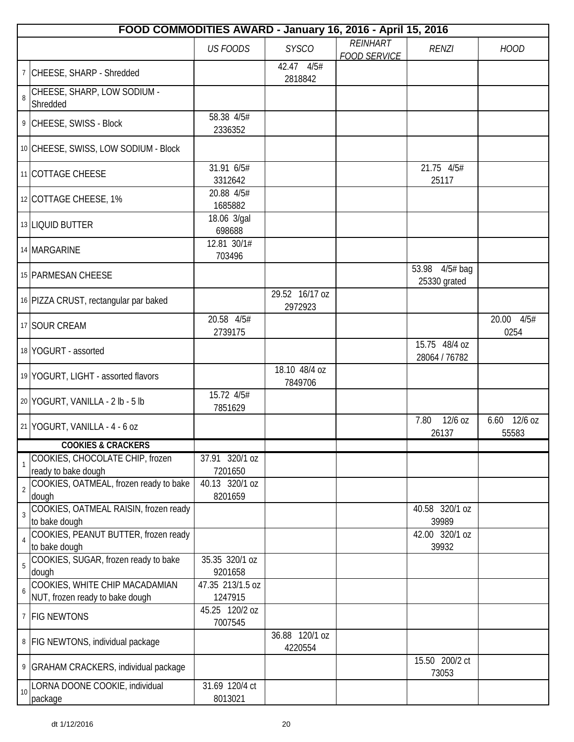|                 | FOOD COMMODITIES AWARD - January 16, 2016 - April 15, 2016                                       |                                             |                           |                                        |                                |                       |  |
|-----------------|--------------------------------------------------------------------------------------------------|---------------------------------------------|---------------------------|----------------------------------------|--------------------------------|-----------------------|--|
|                 |                                                                                                  | <b>US FOODS</b>                             | <b>SYSCO</b>              | <b>REINHART</b><br><b>FOOD SERVICE</b> | <b>RENZI</b>                   | <b>HOOD</b>           |  |
|                 | 7 CHEESE, SHARP - Shredded                                                                       |                                             | 42.47 4/5#<br>2818842     |                                        |                                |                       |  |
| 8               | CHEESE, SHARP, LOW SODIUM -<br>Shredded                                                          |                                             |                           |                                        |                                |                       |  |
|                 | 9 CHEESE, SWISS - Block                                                                          | 58.38 4/5#<br>2336352                       |                           |                                        |                                |                       |  |
|                 | 10 CHEESE, SWISS, LOW SODIUM - Block                                                             |                                             |                           |                                        |                                |                       |  |
|                 | 11 COTTAGE CHEESE                                                                                | 31.91 6/5#<br>3312642                       |                           |                                        | 21.75 4/5#<br>25117            |                       |  |
|                 | 12 COTTAGE CHEESE, 1%                                                                            | 20.88 4/5#<br>1685882                       |                           |                                        |                                |                       |  |
|                 | 13 LIQUID BUTTER                                                                                 | 18.06 3/gal<br>698688                       |                           |                                        |                                |                       |  |
|                 | 14 MARGARINE                                                                                     | 12.81 30/1#<br>703496                       |                           |                                        |                                |                       |  |
|                 | 15 PARMESAN CHEESE                                                                               |                                             |                           |                                        | 53.98 4/5# bag<br>25330 grated |                       |  |
|                 | 16 PIZZA CRUST, rectangular par baked                                                            |                                             | 29.52 16/17 oz<br>2972923 |                                        |                                |                       |  |
|                 | 17 SOUR CREAM                                                                                    | 20.58 4/5#<br>2739175                       |                           |                                        |                                | 20.00 4/5#<br>0254    |  |
|                 | 18 YOGURT - assorted                                                                             |                                             |                           |                                        | 15.75 48/4 oz<br>28064 / 76782 |                       |  |
|                 | 19 YOGURT, LIGHT - assorted flavors                                                              |                                             | 18.10 48/4 oz<br>7849706  |                                        |                                |                       |  |
|                 | 20 YOGURT, VANILLA - 2 lb - 5 lb                                                                 | 15.72 4/5#<br>7851629                       |                           |                                        |                                |                       |  |
|                 | 21 YOGURT, VANILLA - 4 - 6 oz                                                                    |                                             |                           |                                        | 12/6 oz<br>7.80<br>26137       | 6.60 12/6 oz<br>55583 |  |
|                 | <b>COOKIES &amp; CRACKERS</b>                                                                    |                                             |                           |                                        |                                |                       |  |
|                 | COOKIES, CHOCOLATE CHIP, frozen<br>ready to bake dough<br>COOKIES, OATMEAL, frozen ready to bake | 37.91 320/1 oz<br>7201650<br>40.13 320/1 oz |                           |                                        |                                |                       |  |
| $\overline{2}$  | dough                                                                                            | 8201659                                     |                           |                                        |                                |                       |  |
| 3               | COOKIES, OATMEAL RAISIN, frozen ready<br>to bake dough                                           |                                             |                           |                                        | 40.58 320/1 oz<br>39989        |                       |  |
| 4               | COOKIES, PEANUT BUTTER, frozen ready<br>to bake dough                                            |                                             |                           |                                        | 42.00 320/1 oz<br>39932        |                       |  |
| 5               | COOKIES, SUGAR, frozen ready to bake<br>dough                                                    | 35.35 320/1 oz<br>9201658                   |                           |                                        |                                |                       |  |
| 6               | COOKIES, WHITE CHIP MACADAMIAN<br>NUT, frozen ready to bake dough                                | 47.35 213/1.5 oz<br>1247915                 |                           |                                        |                                |                       |  |
|                 | 7 FIG NEWTONS                                                                                    | 45.25 120/2 oz<br>7007545                   |                           |                                        |                                |                       |  |
|                 | 8   FIG NEWTONS, individual package                                                              |                                             | 36.88 120/1 oz<br>4220554 |                                        |                                |                       |  |
|                 | 9   GRAHAM CRACKERS, individual package                                                          |                                             |                           |                                        | 15.50 200/2 ct<br>73053        |                       |  |
| 10 <sup>°</sup> | LORNA DOONE COOKIE, individual<br>package                                                        | 31.69 120/4 ct<br>8013021                   |                           |                                        |                                |                       |  |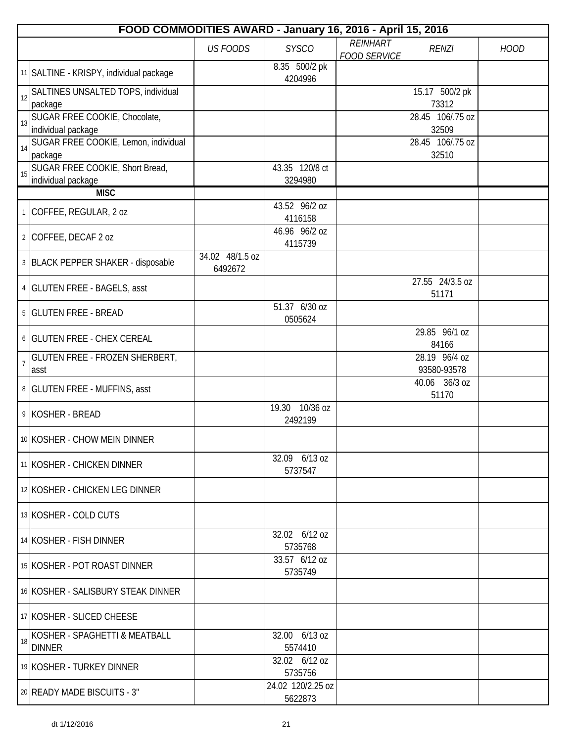|                                                             | FOOD COMMODITIES AWARD - January 16, 2016 - April 15, 2016 |                              |                                        |                              |             |  |
|-------------------------------------------------------------|------------------------------------------------------------|------------------------------|----------------------------------------|------------------------------|-------------|--|
|                                                             | <b>US FOODS</b>                                            | <b>SYSCO</b>                 | <b>REINHART</b><br><b>FOOD SERVICE</b> | <b>RENZI</b>                 | <b>HOOD</b> |  |
| 11 SALTINE - KRISPY, individual package                     |                                                            | 8.35 500/2 pk<br>4204996     |                                        |                              |             |  |
| SALTINES UNSALTED TOPS, individual<br>12<br>package         |                                                            |                              |                                        | 15.17 500/2 pk<br>73312      |             |  |
| SUGAR FREE COOKIE, Chocolate,<br>13<br>individual package   |                                                            |                              |                                        | 28.45 106/.75 oz<br>32509    |             |  |
| SUGAR FREE COOKIE, Lemon, individual<br>14<br>package       |                                                            |                              |                                        | 28.45 106/.75 oz<br>32510    |             |  |
| SUGAR FREE COOKIE, Short Bread,<br>15<br>individual package |                                                            | 43.35 120/8 ct<br>3294980    |                                        |                              |             |  |
| <b>MISC</b>                                                 |                                                            |                              |                                        |                              |             |  |
| 1 COFFEE, REGULAR, 2 oz                                     |                                                            | 43.52 96/2 oz<br>4116158     |                                        |                              |             |  |
| 2 COFFEE, DECAF 2 oz                                        |                                                            | 46.96 96/2 oz<br>4115739     |                                        |                              |             |  |
| 3 BLACK PEPPER SHAKER - disposable                          | 34.02 48/1.5 oz<br>6492672                                 |                              |                                        |                              |             |  |
| 4   GLUTEN FREE - BAGELS, asst                              |                                                            |                              |                                        | 27.55 24/3.5 oz<br>51171     |             |  |
| 5 GLUTEN FREE - BREAD                                       |                                                            | 51.37 6/30 oz<br>0505624     |                                        |                              |             |  |
| 6 GLUTEN FREE - CHEX CEREAL                                 |                                                            |                              |                                        | 29.85 96/1 oz<br>84166       |             |  |
| GLUTEN FREE - FROZEN SHERBERT,<br>$\overline{7}$<br>asst    |                                                            |                              |                                        | 28.19 96/4 oz<br>93580-93578 |             |  |
| 8   GLUTEN FREE - MUFFINS, asst                             |                                                            |                              |                                        | 40.06 36/3 oz<br>51170       |             |  |
| 9 KOSHER - BREAD                                            |                                                            | 19.30 10/36 oz<br>2492199    |                                        |                              |             |  |
| 10 KOSHER - CHOW MEIN DINNER                                |                                                            |                              |                                        |                              |             |  |
| 11 KOSHER - CHICKEN DINNER                                  |                                                            | 32.09 6/13 oz<br>5737547     |                                        |                              |             |  |
| 12 KOSHER - CHICKEN LEG DINNER                              |                                                            |                              |                                        |                              |             |  |
| 13 KOSHER - COLD CUTS                                       |                                                            |                              |                                        |                              |             |  |
| 14 KOSHER - FISH DINNER                                     |                                                            | 32.02 6/12 oz<br>5735768     |                                        |                              |             |  |
| 15 KOSHER - POT ROAST DINNER                                |                                                            | 33.57 6/12 oz<br>5735749     |                                        |                              |             |  |
| 16 KOSHER - SALISBURY STEAK DINNER                          |                                                            |                              |                                        |                              |             |  |
| 17 KOSHER - SLICED CHEESE                                   |                                                            |                              |                                        |                              |             |  |
| KOSHER - SPAGHETTI & MEATBALL<br>18<br><b>DINNER</b>        |                                                            | 32.00 6/13 oz<br>5574410     |                                        |                              |             |  |
| 19 KOSHER - TURKEY DINNER                                   |                                                            | 32.02 6/12 oz<br>5735756     |                                        |                              |             |  |
| 20 READY MADE BISCUITS - 3"                                 |                                                            | 24.02 120/2.25 oz<br>5622873 |                                        |                              |             |  |